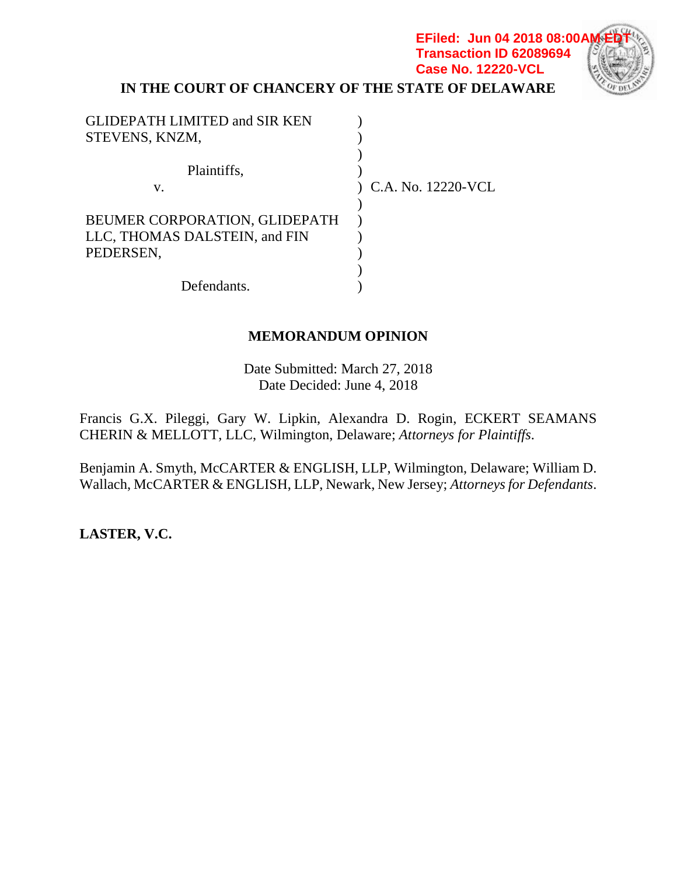## **IN THE COURT OF CHANCERY OF THE STATE OF DELAWARE Case No. 12220-VCL**

**EFiled: Jun 04 2018 08:00/ Transaction ID 62089694**

| <b>GLIDEPATH LIMITED and SIR KEN</b> |                      |
|--------------------------------------|----------------------|
| STEVENS, KNZM,                       |                      |
|                                      |                      |
| Plaintiffs,                          |                      |
| V.                                   | ) C.A. No. 12220-VCL |
|                                      |                      |
| BEUMER CORPORATION, GLIDEPATH        |                      |
| LLC, THOMAS DALSTEIN, and FIN        |                      |
| PEDERSEN,                            |                      |
|                                      |                      |
| Defendants.                          |                      |

## **MEMORANDUM OPINION**

Date Submitted: March 27, 2018 Date Decided: June 4, 2018

Francis G.X. Pileggi, Gary W. Lipkin, Alexandra D. Rogin, ECKERT SEAMANS CHERIN & MELLOTT, LLC, Wilmington, Delaware; *Attorneys for Plaintiffs*.

Benjamin A. Smyth, McCARTER & ENGLISH, LLP, Wilmington, Delaware; William D. Wallach, McCARTER & ENGLISH, LLP, Newark, New Jersey; *Attorneysfor Defendants*.

**LASTER, V.C.**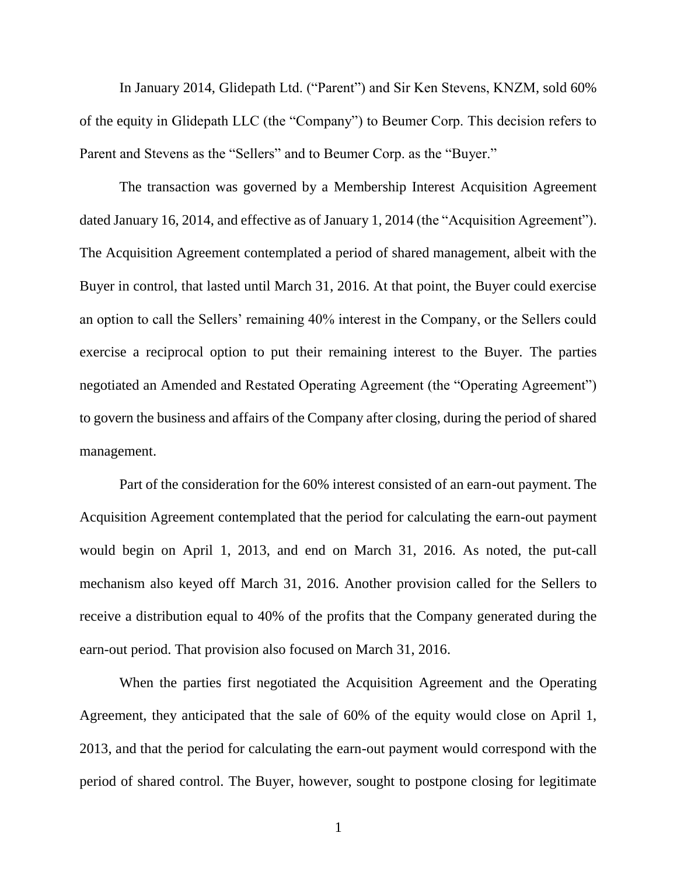In January 2014, Glidepath Ltd. ("Parent") and Sir Ken Stevens, KNZM, sold 60% of the equity in Glidepath LLC (the "Company") to Beumer Corp. This decision refers to Parent and Stevens as the "Sellers" and to Beumer Corp. as the "Buyer."

The transaction was governed by a Membership Interest Acquisition Agreement dated January 16, 2014, and effective as of January 1, 2014 (the "Acquisition Agreement"). The Acquisition Agreement contemplated a period of shared management, albeit with the Buyer in control, that lasted until March 31, 2016. At that point, the Buyer could exercise an option to call the Sellers' remaining 40% interest in the Company, or the Sellers could exercise a reciprocal option to put their remaining interest to the Buyer. The parties negotiated an Amended and Restated Operating Agreement (the "Operating Agreement") to govern the business and affairs of the Company after closing, during the period of shared management.

Part of the consideration for the 60% interest consisted of an earn-out payment. The Acquisition Agreement contemplated that the period for calculating the earn-out payment would begin on April 1, 2013, and end on March 31, 2016. As noted, the put-call mechanism also keyed off March 31, 2016. Another provision called for the Sellers to receive a distribution equal to 40% of the profits that the Company generated during the earn-out period. That provision also focused on March 31, 2016.

When the parties first negotiated the Acquisition Agreement and the Operating Agreement, they anticipated that the sale of 60% of the equity would close on April 1, 2013, and that the period for calculating the earn-out payment would correspond with the period of shared control. The Buyer, however, sought to postpone closing for legitimate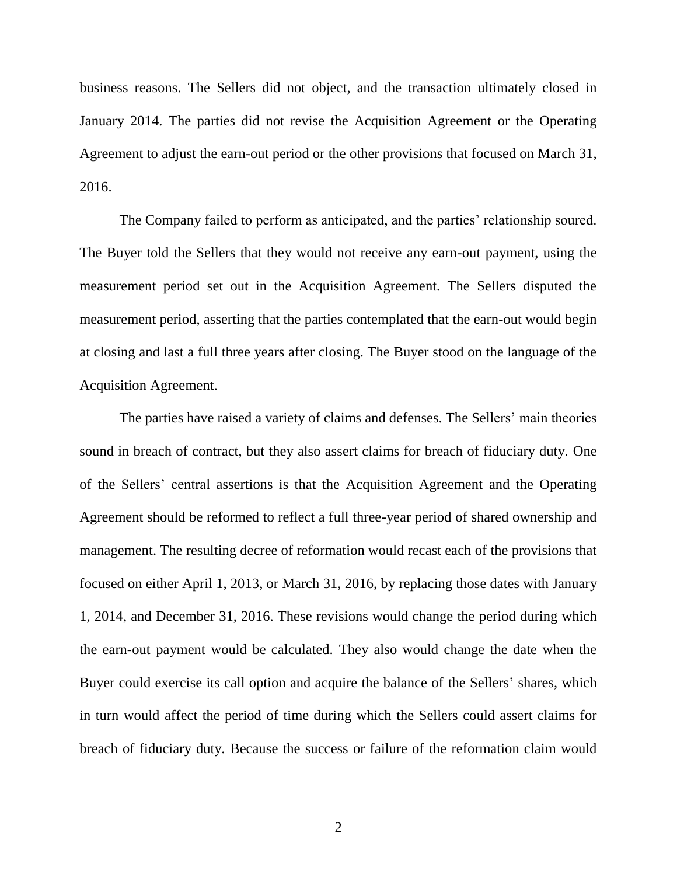business reasons. The Sellers did not object, and the transaction ultimately closed in January 2014. The parties did not revise the Acquisition Agreement or the Operating Agreement to adjust the earn-out period or the other provisions that focused on March 31, 2016.

The Company failed to perform as anticipated, and the parties' relationship soured. The Buyer told the Sellers that they would not receive any earn-out payment, using the measurement period set out in the Acquisition Agreement. The Sellers disputed the measurement period, asserting that the parties contemplated that the earn-out would begin at closing and last a full three years after closing. The Buyer stood on the language of the Acquisition Agreement.

The parties have raised a variety of claims and defenses. The Sellers' main theories sound in breach of contract, but they also assert claims for breach of fiduciary duty. One of the Sellers' central assertions is that the Acquisition Agreement and the Operating Agreement should be reformed to reflect a full three-year period of shared ownership and management. The resulting decree of reformation would recast each of the provisions that focused on either April 1, 2013, or March 31, 2016, by replacing those dates with January 1, 2014, and December 31, 2016. These revisions would change the period during which the earn-out payment would be calculated. They also would change the date when the Buyer could exercise its call option and acquire the balance of the Sellers' shares, which in turn would affect the period of time during which the Sellers could assert claims for breach of fiduciary duty. Because the success or failure of the reformation claim would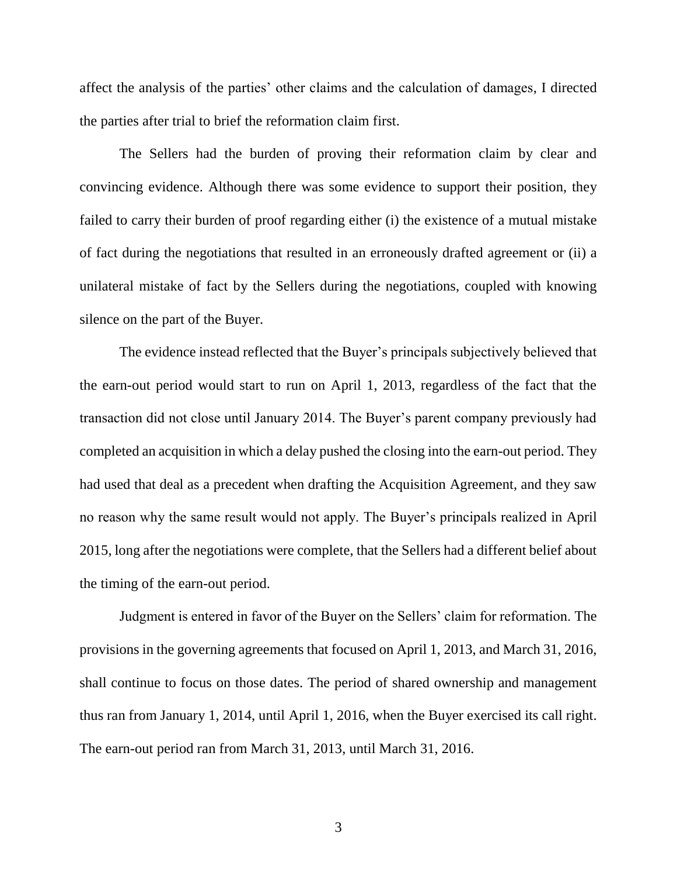affect the analysis of the parties' other claims and the calculation of damages, I directed the parties after trial to brief the reformation claim first.

The Sellers had the burden of proving their reformation claim by clear and convincing evidence. Although there was some evidence to support their position, they failed to carry their burden of proof regarding either (i) the existence of a mutual mistake of fact during the negotiations that resulted in an erroneously drafted agreement or (ii) a unilateral mistake of fact by the Sellers during the negotiations, coupled with knowing silence on the part of the Buyer.

The evidence instead reflected that the Buyer's principals subjectively believed that the earn-out period would start to run on April 1, 2013, regardless of the fact that the transaction did not close until January 2014. The Buyer's parent company previously had completed an acquisition in which a delay pushed the closing into the earn-out period. They had used that deal as a precedent when drafting the Acquisition Agreement, and they saw no reason why the same result would not apply. The Buyer's principals realized in April 2015, long after the negotiations were complete, that the Sellers had a different belief about the timing of the earn-out period.

Judgment is entered in favor of the Buyer on the Sellers' claim for reformation. The provisions in the governing agreements that focused on April 1, 2013, and March 31, 2016, shall continue to focus on those dates. The period of shared ownership and management thus ran from January 1, 2014, until April 1, 2016, when the Buyer exercised its call right. The earn-out period ran from March 31, 2013, until March 31, 2016.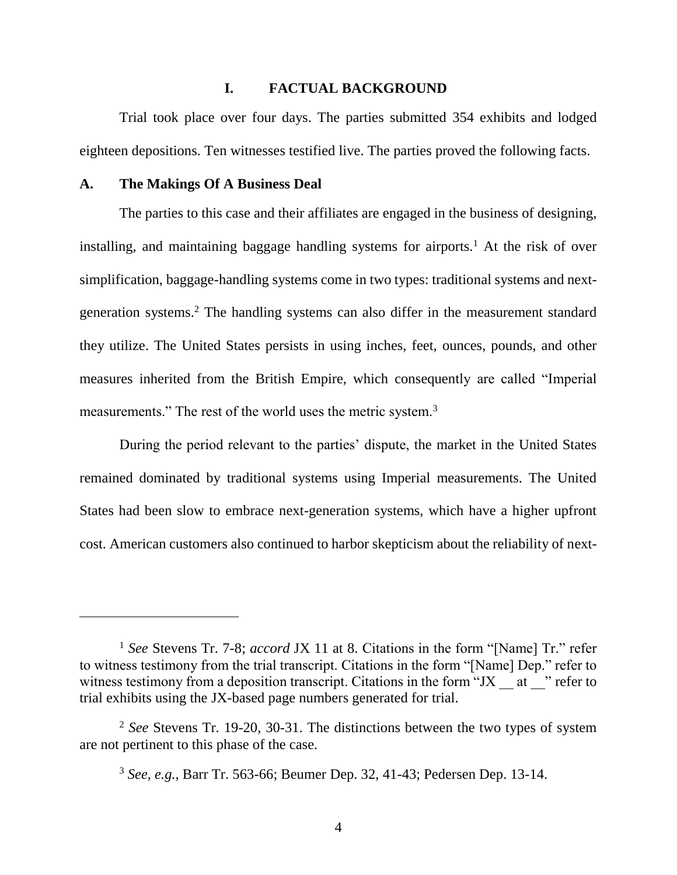#### **I. FACTUAL BACKGROUND**

Trial took place over four days. The parties submitted 354 exhibits and lodged eighteen depositions. Ten witnesses testified live. The parties proved the following facts.

#### **A. The Makings Of A Business Deal**

 $\overline{a}$ 

The parties to this case and their affiliates are engaged in the business of designing, installing, and maintaining baggage handling systems for airports. <sup>1</sup> At the risk of over simplification, baggage-handling systems come in two types: traditional systems and nextgeneration systems.<sup>2</sup> The handling systems can also differ in the measurement standard they utilize. The United States persists in using inches, feet, ounces, pounds, and other measures inherited from the British Empire, which consequently are called "Imperial measurements." The rest of the world uses the metric system.<sup>3</sup>

During the period relevant to the parties' dispute, the market in the United States remained dominated by traditional systems using Imperial measurements. The United States had been slow to embrace next-generation systems, which have a higher upfront cost. American customers also continued to harbor skepticism about the reliability of next-

<sup>1</sup> *See* Stevens Tr. 7-8; *accord* JX 11 at 8. Citations in the form "[Name] Tr." refer to witness testimony from the trial transcript. Citations in the form "[Name] Dep." refer to witness testimony from a deposition transcript. Citations in the form "JX  $\alpha$  at  $\beta$ " refer to trial exhibits using the JX-based page numbers generated for trial.

<sup>2</sup> *See* Stevens Tr. 19-20, 30-31. The distinctions between the two types of system are not pertinent to this phase of the case.

<sup>3</sup> *See, e.g.*, Barr Tr. 563-66; Beumer Dep. 32, 41-43; Pedersen Dep. 13-14.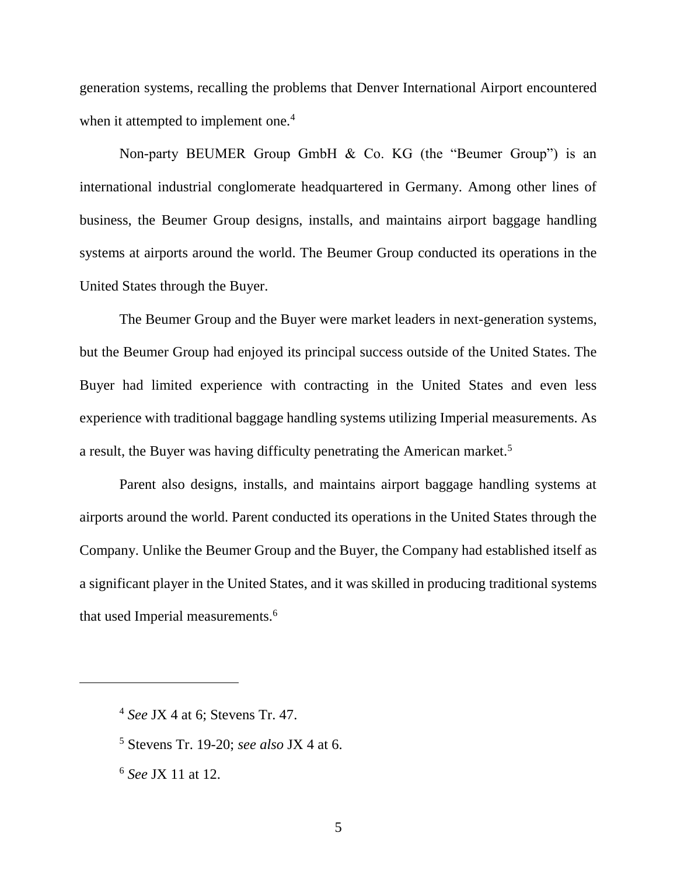generation systems, recalling the problems that Denver International Airport encountered when it attempted to implement one.<sup>4</sup>

Non-party BEUMER Group GmbH & Co. KG (the "Beumer Group") is an international industrial conglomerate headquartered in Germany. Among other lines of business, the Beumer Group designs, installs, and maintains airport baggage handling systems at airports around the world. The Beumer Group conducted its operations in the United States through the Buyer.

The Beumer Group and the Buyer were market leaders in next-generation systems, but the Beumer Group had enjoyed its principal success outside of the United States. The Buyer had limited experience with contracting in the United States and even less experience with traditional baggage handling systems utilizing Imperial measurements. As a result, the Buyer was having difficulty penetrating the American market.<sup>5</sup>

Parent also designs, installs, and maintains airport baggage handling systems at airports around the world. Parent conducted its operations in the United States through the Company. Unlike the Beumer Group and the Buyer, the Company had established itself as a significant player in the United States, and it was skilled in producing traditional systems that used Imperial measurements.<sup>6</sup>

<sup>4</sup> *See* JX 4 at 6; Stevens Tr. 47.

<sup>5</sup> Stevens Tr. 19-20; *see also* JX 4 at 6.

<sup>6</sup> *See* JX 11 at 12.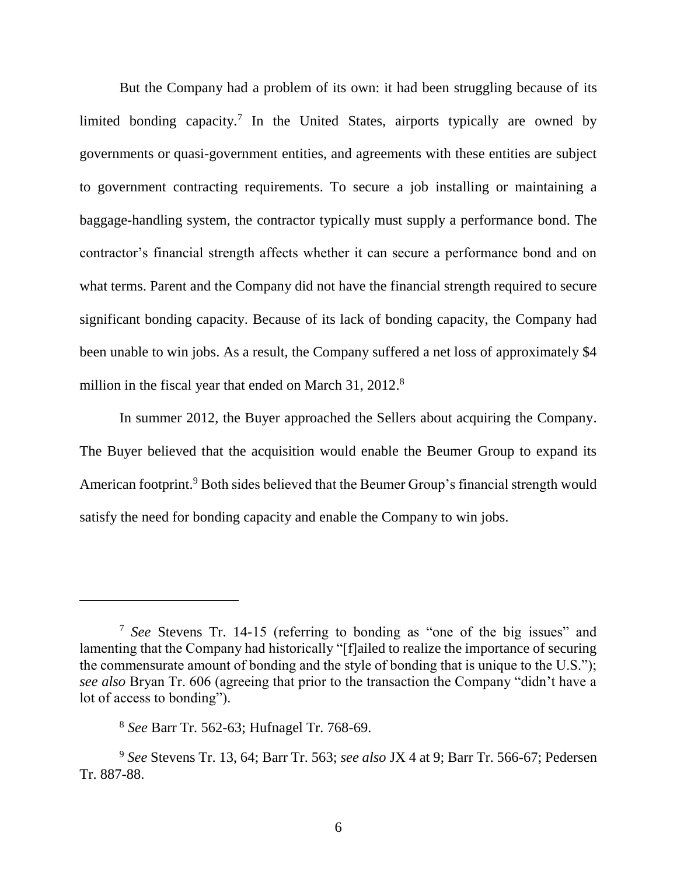But the Company had a problem of its own: it had been struggling because of its limited bonding capacity.<sup>7</sup> In the United States, airports typically are owned by governments or quasi-government entities, and agreements with these entities are subject to government contracting requirements. To secure a job installing or maintaining a baggage-handling system, the contractor typically must supply a performance bond. The contractor's financial strength affects whether it can secure a performance bond and on what terms. Parent and the Company did not have the financial strength required to secure significant bonding capacity. Because of its lack of bonding capacity, the Company had been unable to win jobs. As a result, the Company suffered a net loss of approximately \$4 million in the fiscal year that ended on March 31, 2012.<sup>8</sup>

In summer 2012, the Buyer approached the Sellers about acquiring the Company. The Buyer believed that the acquisition would enable the Beumer Group to expand its American footprint.<sup>9</sup> Both sides believed that the Beumer Group's financial strength would satisfy the need for bonding capacity and enable the Company to win jobs.

<sup>7</sup> *See* Stevens Tr. 14-15 (referring to bonding as "one of the big issues" and lamenting that the Company had historically "[f]ailed to realize the importance of securing the commensurate amount of bonding and the style of bonding that is unique to the U.S."); *see also* Bryan Tr. 606 (agreeing that prior to the transaction the Company "didn't have a lot of access to bonding").

<sup>8</sup> *See* Barr Tr. 562-63; Hufnagel Tr. 768-69.

<sup>9</sup> *See* Stevens Tr. 13, 64; Barr Tr. 563; *see also* JX 4 at 9; Barr Tr. 566-67; Pedersen Tr. 887-88.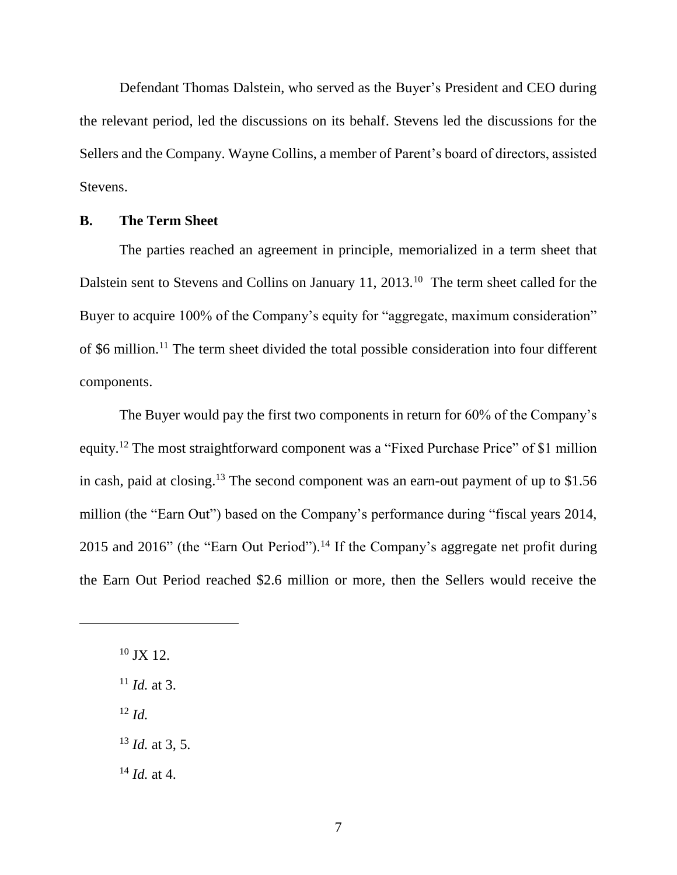Defendant Thomas Dalstein, who served as the Buyer's President and CEO during the relevant period, led the discussions on its behalf. Stevens led the discussions for the Sellers and the Company. Wayne Collins, a member of Parent's board of directors, assisted Stevens.

#### **B. The Term Sheet**

The parties reached an agreement in principle, memorialized in a term sheet that Dalstein sent to Stevens and Collins on January 11, 2013.<sup>10</sup> The term sheet called for the Buyer to acquire 100% of the Company's equity for "aggregate, maximum consideration" of \$6 million.<sup>11</sup> The term sheet divided the total possible consideration into four different components.

The Buyer would pay the first two components in return for 60% of the Company's equity.<sup>12</sup> The most straightforward component was a "Fixed Purchase Price" of \$1 million in cash, paid at closing. <sup>13</sup> The second component was an earn-out payment of up to \$1.56 million (the "Earn Out") based on the Company's performance during "fiscal years 2014, 2015 and 2016" (the "Earn Out Period").<sup>14</sup> If the Company's aggregate net profit during the Earn Out Period reached \$2.6 million or more, then the Sellers would receive the

 $10$  JX 12.

 $\overline{a}$ 

<sup>11</sup> *Id.* at 3.

<sup>12</sup> *Id.*

<sup>13</sup> *Id.* at 3, 5.

<sup>14</sup> *Id.* at 4.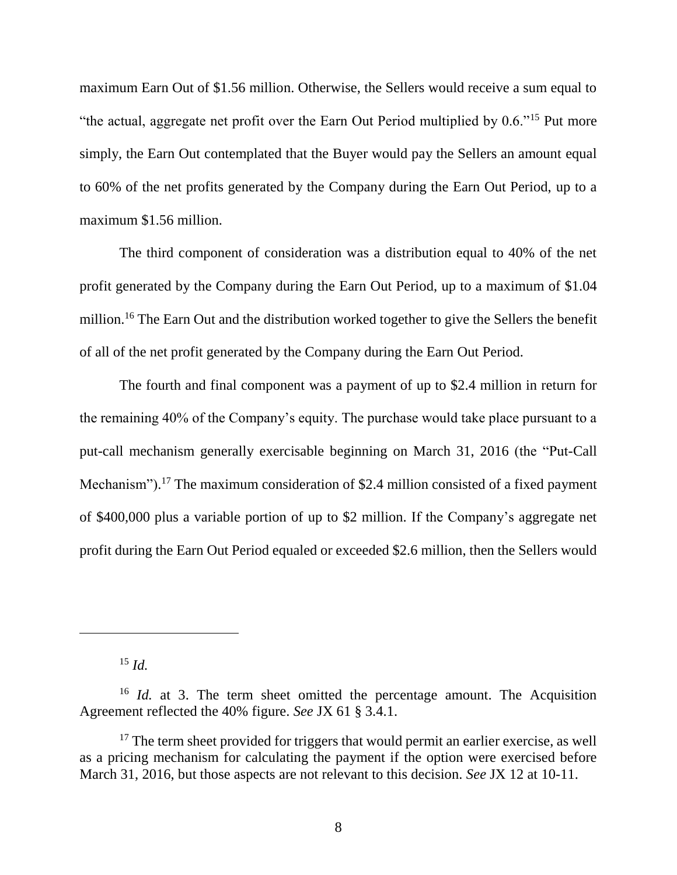maximum Earn Out of \$1.56 million. Otherwise, the Sellers would receive a sum equal to "the actual, aggregate net profit over the Earn Out Period multiplied by 0.6."<sup>15</sup> Put more simply, the Earn Out contemplated that the Buyer would pay the Sellers an amount equal to 60% of the net profits generated by the Company during the Earn Out Period, up to a maximum \$1.56 million.

The third component of consideration was a distribution equal to 40% of the net profit generated by the Company during the Earn Out Period, up to a maximum of \$1.04 million.<sup>16</sup> The Earn Out and the distribution worked together to give the Sellers the benefit of all of the net profit generated by the Company during the Earn Out Period.

The fourth and final component was a payment of up to \$2.4 million in return for the remaining 40% of the Company's equity. The purchase would take place pursuant to a put-call mechanism generally exercisable beginning on March 31, 2016 (the "Put-Call Mechanism").<sup>17</sup> The maximum consideration of \$2.4 million consisted of a fixed payment of \$400,000 plus a variable portion of up to \$2 million. If the Company's aggregate net profit during the Earn Out Period equaled or exceeded \$2.6 million, then the Sellers would

<sup>15</sup> *Id.*

<sup>&</sup>lt;sup>16</sup> *Id.* at 3. The term sheet omitted the percentage amount. The Acquisition Agreement reflected the 40% figure. *See* JX 61 § 3.4.1.

 $17$  The term sheet provided for triggers that would permit an earlier exercise, as well as a pricing mechanism for calculating the payment if the option were exercised before March 31, 2016, but those aspects are not relevant to this decision. *See* JX 12 at 10-11.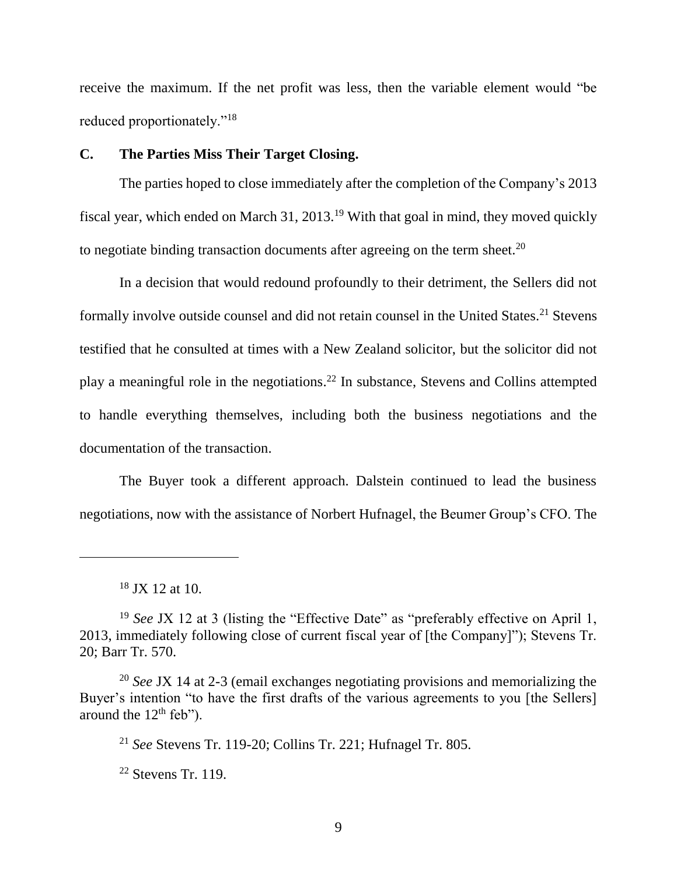receive the maximum. If the net profit was less, then the variable element would "be reduced proportionately."<sup>18</sup>

### **C. The Parties Miss Their Target Closing.**

The parties hoped to close immediately after the completion of the Company's 2013 fiscal year, which ended on March 31, 2013.<sup>19</sup> With that goal in mind, they moved quickly to negotiate binding transaction documents after agreeing on the term sheet.<sup>20</sup>

In a decision that would redound profoundly to their detriment, the Sellers did not formally involve outside counsel and did not retain counsel in the United States.<sup>21</sup> Stevens testified that he consulted at times with a New Zealand solicitor, but the solicitor did not play a meaningful role in the negotiations. <sup>22</sup> In substance, Stevens and Collins attempted to handle everything themselves, including both the business negotiations and the documentation of the transaction.

The Buyer took a different approach. Dalstein continued to lead the business negotiations, now with the assistance of Norbert Hufnagel, the Beumer Group's CFO. The

 $\overline{a}$ 

<sup>21</sup> *See* Stevens Tr. 119-20; Collins Tr. 221; Hufnagel Tr. 805.

 $22$  Stevens Tr. 119.

 $18$  JX 12 at 10.

<sup>&</sup>lt;sup>19</sup> *See JX* 12 at 3 (listing the "Effective Date" as "preferably effective on April 1, 2013, immediately following close of current fiscal year of [the Company]"); Stevens Tr. 20; Barr Tr. 570.

<sup>20</sup> *See* JX 14 at 2-3 (email exchanges negotiating provisions and memorializing the Buyer's intention "to have the first drafts of the various agreements to you [the Sellers] around the  $12<sup>th</sup>$  feb").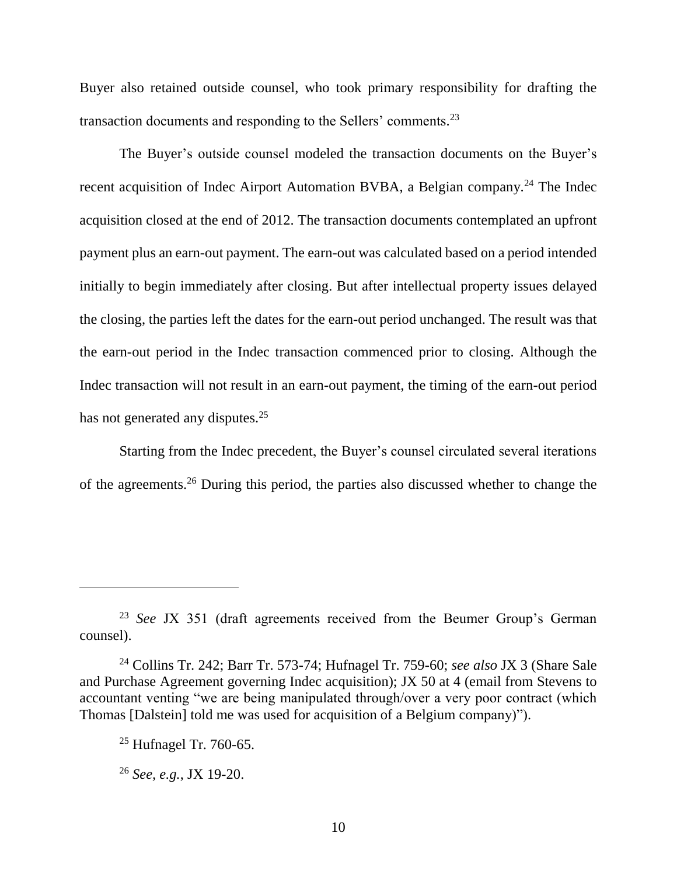Buyer also retained outside counsel, who took primary responsibility for drafting the transaction documents and responding to the Sellers' comments.<sup>23</sup>

The Buyer's outside counsel modeled the transaction documents on the Buyer's recent acquisition of Indec Airport Automation BVBA, a Belgian company.<sup>24</sup> The Indec acquisition closed at the end of 2012. The transaction documents contemplated an upfront payment plus an earn-out payment. The earn-out was calculated based on a period intended initially to begin immediately after closing. But after intellectual property issues delayed the closing, the parties left the dates for the earn-out period unchanged. The result was that the earn-out period in the Indec transaction commenced prior to closing. Although the Indec transaction will not result in an earn-out payment, the timing of the earn-out period has not generated any disputes.<sup>25</sup>

Starting from the Indec precedent, the Buyer's counsel circulated several iterations of the agreements. <sup>26</sup> During this period, the parties also discussed whether to change the

<sup>23</sup> *See* JX 351 (draft agreements received from the Beumer Group's German counsel).

<sup>24</sup> Collins Tr. 242; Barr Tr. 573-74; Hufnagel Tr. 759-60; *see also* JX 3 (Share Sale and Purchase Agreement governing Indec acquisition); JX 50 at 4 (email from Stevens to accountant venting "we are being manipulated through/over a very poor contract (which Thomas [Dalstein] told me was used for acquisition of a Belgium company)").

 $25$  Hufnagel Tr. 760-65.

<sup>26</sup> *See, e.g.*, JX 19-20.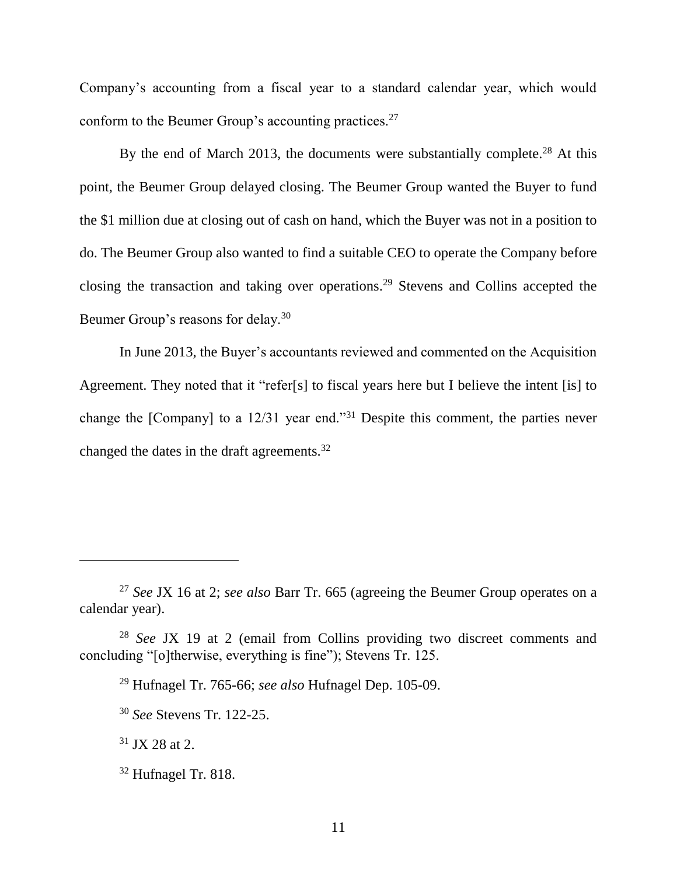Company's accounting from a fiscal year to a standard calendar year, which would conform to the Beumer Group's accounting practices.<sup>27</sup>

By the end of March 2013, the documents were substantially complete.<sup>28</sup> At this point, the Beumer Group delayed closing. The Beumer Group wanted the Buyer to fund the \$1 million due at closing out of cash on hand, which the Buyer was not in a position to do. The Beumer Group also wanted to find a suitable CEO to operate the Company before closing the transaction and taking over operations. <sup>29</sup> Stevens and Collins accepted the Beumer Group's reasons for delay.<sup>30</sup>

In June 2013, the Buyer's accountants reviewed and commented on the Acquisition Agreement. They noted that it "refer[s] to fiscal years here but I believe the intent [is] to change the [Company] to a 12/31 year end."<sup>31</sup> Despite this comment, the parties never changed the dates in the draft agreements.<sup>32</sup>

<sup>27</sup> *See* JX 16 at 2; *see also* Barr Tr. 665 (agreeing the Beumer Group operates on a calendar year).

<sup>28</sup> *See* JX 19 at 2 (email from Collins providing two discreet comments and concluding "[o]therwise, everything is fine"); Stevens Tr. 125.

<sup>29</sup> Hufnagel Tr. 765-66; *see also* Hufnagel Dep. 105-09.

<sup>30</sup> *See* Stevens Tr. 122-25.

 $31$  JX 28 at 2.

<sup>32</sup> Hufnagel Tr. 818.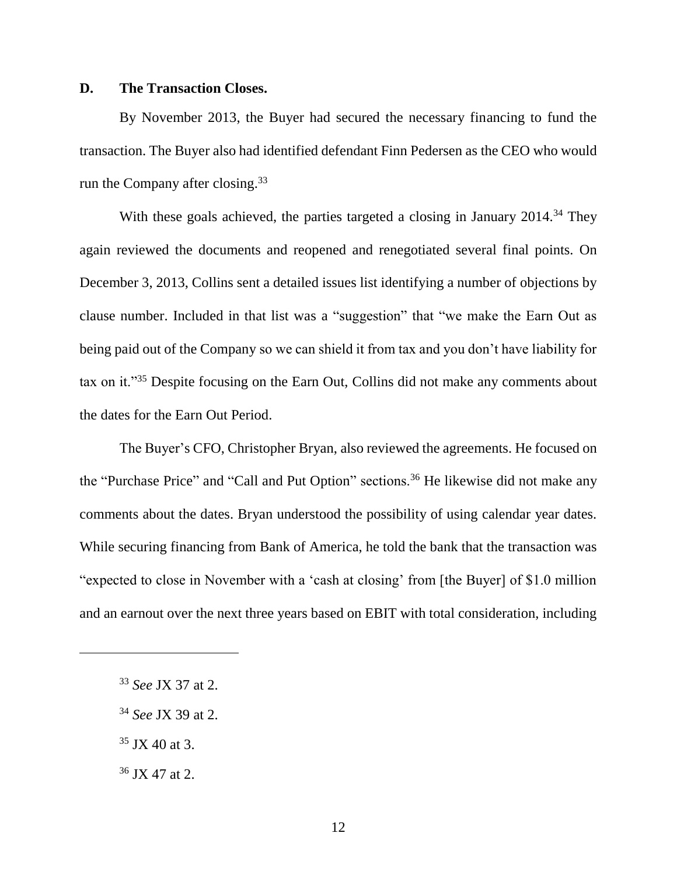#### **D. The Transaction Closes.**

By November 2013, the Buyer had secured the necessary financing to fund the transaction. The Buyer also had identified defendant Finn Pedersen as the CEO who would run the Company after closing.<sup>33</sup>

With these goals achieved, the parties targeted a closing in January 2014.<sup>34</sup> They again reviewed the documents and reopened and renegotiated several final points. On December 3, 2013, Collins sent a detailed issues list identifying a number of objections by clause number. Included in that list was a "suggestion" that "we make the Earn Out as being paid out of the Company so we can shield it from tax and you don't have liability for tax on it."<sup>35</sup> Despite focusing on the Earn Out, Collins did not make any comments about the dates for the Earn Out Period.

The Buyer's CFO, Christopher Bryan, also reviewed the agreements. He focused on the "Purchase Price" and "Call and Put Option" sections.<sup>36</sup> He likewise did not make any comments about the dates. Bryan understood the possibility of using calendar year dates. While securing financing from Bank of America, he told the bank that the transaction was "expected to close in November with a 'cash at closing' from [the Buyer] of \$1.0 million and an earnout over the next three years based on EBIT with total consideration, including

- $35$  JX 40 at 3.
- <sup>36</sup> JX 47 at 2.

<sup>33</sup> *See* JX 37 at 2.

<sup>34</sup> *See* JX 39 at 2.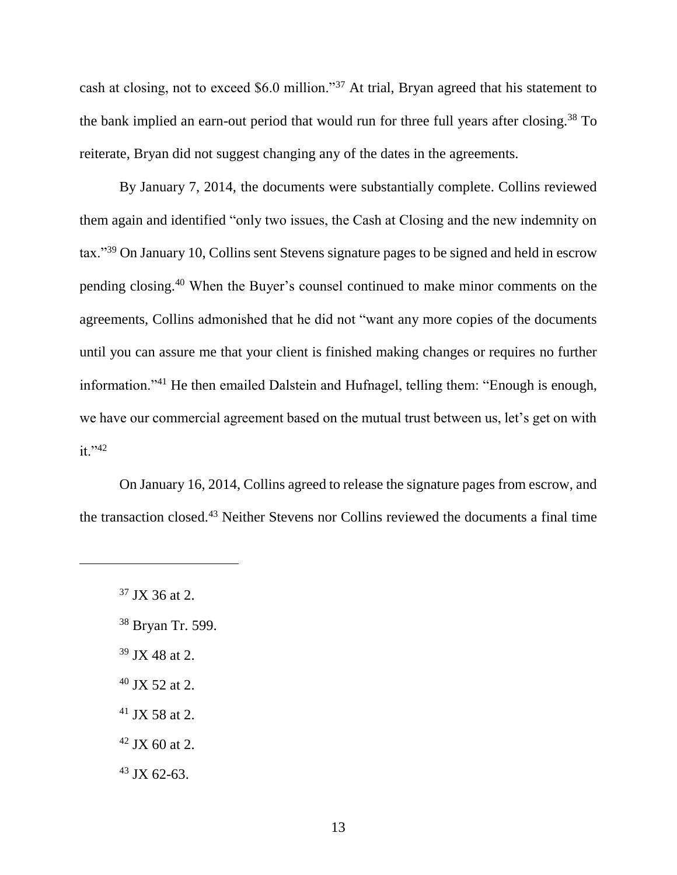cash at closing, not to exceed \$6.0 million."<sup>37</sup> At trial, Bryan agreed that his statement to the bank implied an earn-out period that would run for three full years after closing.<sup>38</sup> To reiterate, Bryan did not suggest changing any of the dates in the agreements.

By January 7, 2014, the documents were substantially complete. Collins reviewed them again and identified "only two issues, the Cash at Closing and the new indemnity on tax."<sup>39</sup> On January 10, Collins sent Stevens signature pages to be signed and held in escrow pending closing.<sup>40</sup> When the Buyer's counsel continued to make minor comments on the agreements, Collins admonished that he did not "want any more copies of the documents until you can assure me that your client is finished making changes or requires no further information."<sup>41</sup> He then emailed Dalstein and Hufnagel, telling them: "Enough is enough, we have our commercial agreement based on the mutual trust between us, let's get on with  $it. "42"$ 

On January 16, 2014, Collins agreed to release the signature pages from escrow, and the transaction closed.<sup>43</sup> Neither Stevens nor Collins reviewed the documents a final time

- <sup>38</sup> Bryan Tr. 599.
- $39$  JX 48 at 2.
- $40$  JX 52 at 2.
- $41$  JX 58 at 2.
- $42$  JX 60 at 2.
- $43$  JX 62-63.

<sup>37</sup> JX 36 at 2.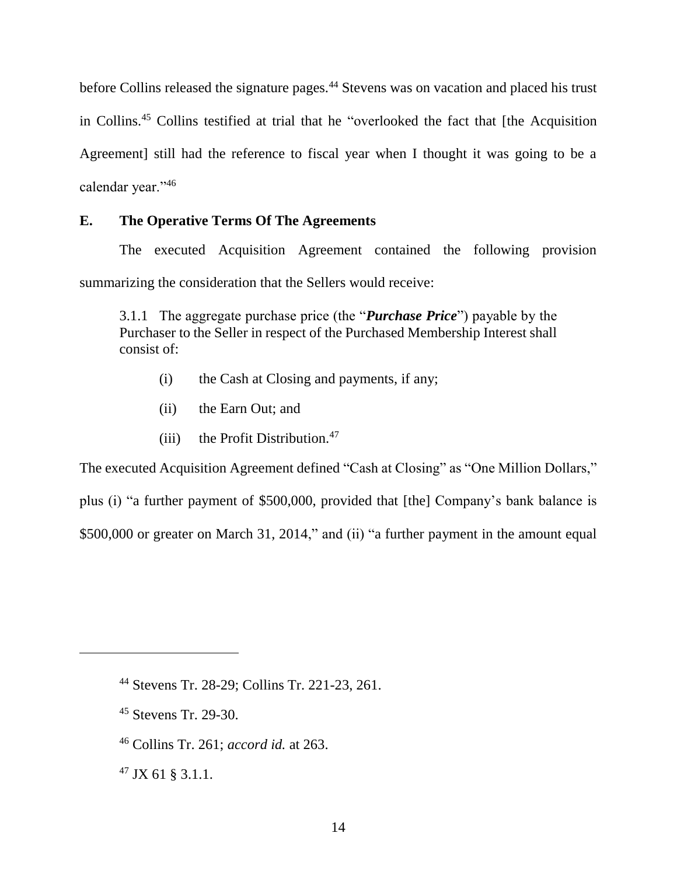before Collins released the signature pages.<sup>44</sup> Stevens was on vacation and placed his trust in Collins.<sup>45</sup> Collins testified at trial that he "overlooked the fact that [the Acquisition Agreement] still had the reference to fiscal year when I thought it was going to be a calendar year."<sup>46</sup>

### **E. The Operative Terms Of The Agreements**

The executed Acquisition Agreement contained the following provision summarizing the consideration that the Sellers would receive:

3.1.1 The aggregate purchase price (the "*Purchase Price*") payable by the Purchaser to the Seller in respect of the Purchased Membership Interest shall consist of:

- (i) the Cash at Closing and payments, if any;
- (ii) the Earn Out; and
- (iii) the Profit Distribution. $47$

The executed Acquisition Agreement defined "Cash at Closing" as "One Million Dollars,"

plus (i) "a further payment of \$500,000, provided that [the] Company's bank balance is

\$500,000 or greater on March 31, 2014," and (ii) "a further payment in the amount equal

<sup>44</sup> Stevens Tr. 28-29; Collins Tr. 221-23, 261.

<sup>45</sup> Stevens Tr. 29-30.

<sup>46</sup> Collins Tr. 261; *accord id.* at 263.

<sup>47</sup> JX 61 § 3.1.1.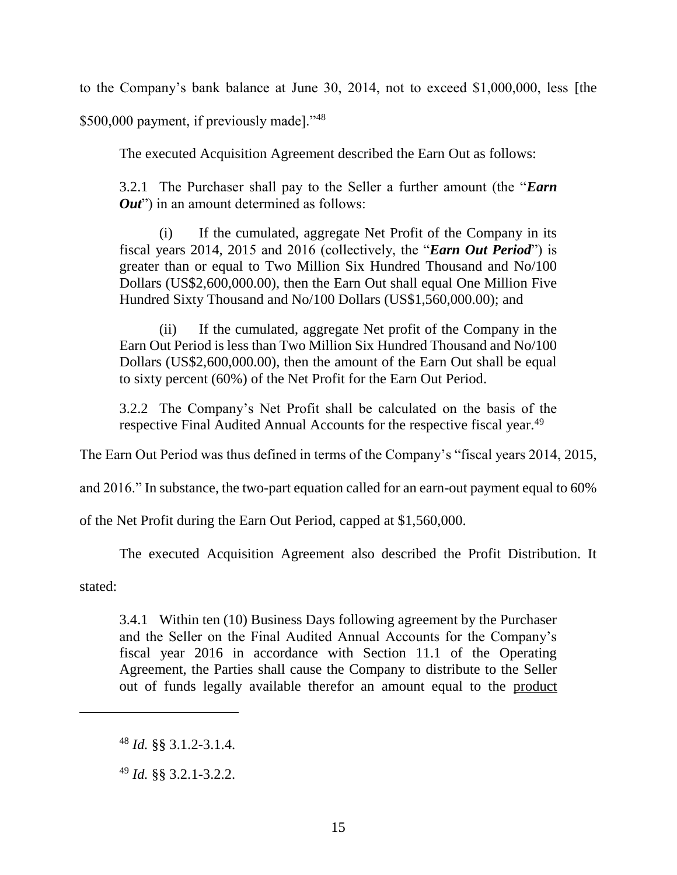to the Company's bank balance at June 30, 2014, not to exceed \$1,000,000, less [the

\$500,000 payment, if previously made]."48

The executed Acquisition Agreement described the Earn Out as follows:

3.2.1 The Purchaser shall pay to the Seller a further amount (the "*Earn Out*") in an amount determined as follows:

(i) If the cumulated, aggregate Net Profit of the Company in its fiscal years 2014, 2015 and 2016 (collectively, the "*Earn Out Period*") is greater than or equal to Two Million Six Hundred Thousand and No/100 Dollars (US\$2,600,000.00), then the Earn Out shall equal One Million Five Hundred Sixty Thousand and No/100 Dollars (US\$1,560,000.00); and

(ii) If the cumulated, aggregate Net profit of the Company in the Earn Out Period is less than Two Million Six Hundred Thousand and No/100 Dollars (US\$2,600,000.00), then the amount of the Earn Out shall be equal to sixty percent (60%) of the Net Profit for the Earn Out Period.

3.2.2 The Company's Net Profit shall be calculated on the basis of the respective Final Audited Annual Accounts for the respective fiscal year.<sup>49</sup>

The Earn Out Period was thus defined in terms of the Company's "fiscal years 2014, 2015,

and 2016." In substance, the two-part equation called for an earn-out payment equal to 60%

of the Net Profit during the Earn Out Period, capped at \$1,560,000.

The executed Acquisition Agreement also described the Profit Distribution. It

stated:

3.4.1 Within ten (10) Business Days following agreement by the Purchaser and the Seller on the Final Audited Annual Accounts for the Company's fiscal year 2016 in accordance with Section 11.1 of the Operating Agreement, the Parties shall cause the Company to distribute to the Seller out of funds legally available therefor an amount equal to the product

<sup>48</sup> *Id.* §§ 3.1.2-3.1.4.

<sup>49</sup> *Id.* §§ 3.2.1-3.2.2.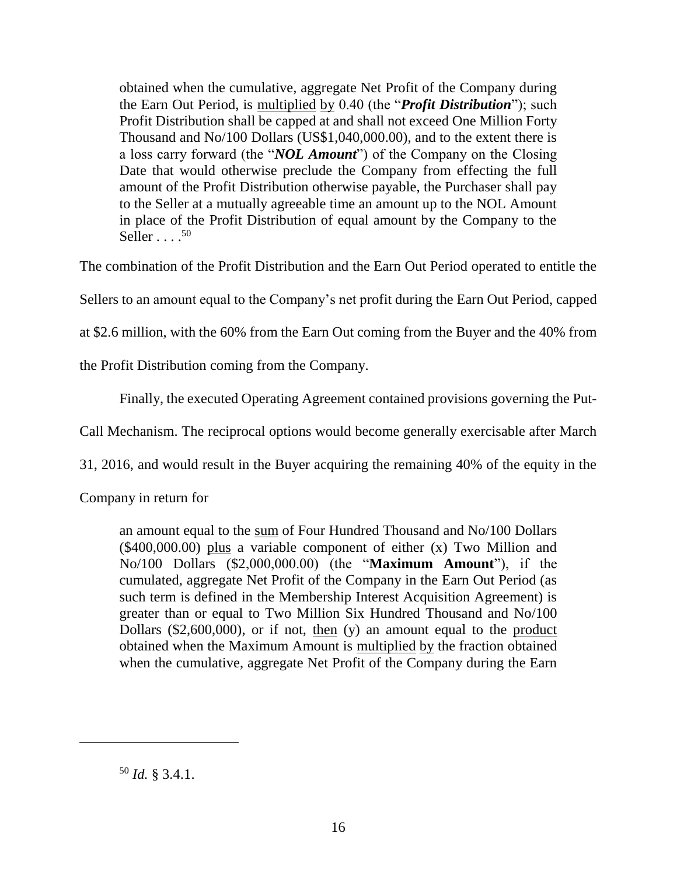obtained when the cumulative, aggregate Net Profit of the Company during the Earn Out Period, is multiplied by 0.40 (the "*Profit Distribution*"); such Profit Distribution shall be capped at and shall not exceed One Million Forty Thousand and No/100 Dollars (US\$1,040,000.00), and to the extent there is a loss carry forward (the "*NOL Amount*") of the Company on the Closing Date that would otherwise preclude the Company from effecting the full amount of the Profit Distribution otherwise payable, the Purchaser shall pay to the Seller at a mutually agreeable time an amount up to the NOL Amount in place of the Profit Distribution of equal amount by the Company to the Seller  $\ldots$  .  $^{50}$ 

The combination of the Profit Distribution and the Earn Out Period operated to entitle the

Sellers to an amount equal to the Company's net profit during the Earn Out Period, capped

at \$2.6 million, with the 60% from the Earn Out coming from the Buyer and the 40% from

the Profit Distribution coming from the Company.

Finally, the executed Operating Agreement contained provisions governing the Put-

Call Mechanism. The reciprocal options would become generally exercisable after March

31, 2016, and would result in the Buyer acquiring the remaining 40% of the equity in the

Company in return for

an amount equal to the sum of Four Hundred Thousand and No/100 Dollars (\$400,000.00) plus a variable component of either (x) Two Million and No/100 Dollars (\$2,000,000.00) (the "**Maximum Amount**"), if the cumulated, aggregate Net Profit of the Company in the Earn Out Period (as such term is defined in the Membership Interest Acquisition Agreement) is greater than or equal to Two Million Six Hundred Thousand and No/100 Dollars (\$2,600,000), or if not, then (y) an amount equal to the product obtained when the Maximum Amount is multiplied by the fraction obtained when the cumulative, aggregate Net Profit of the Company during the Earn

<sup>50</sup> *Id.* § 3.4.1.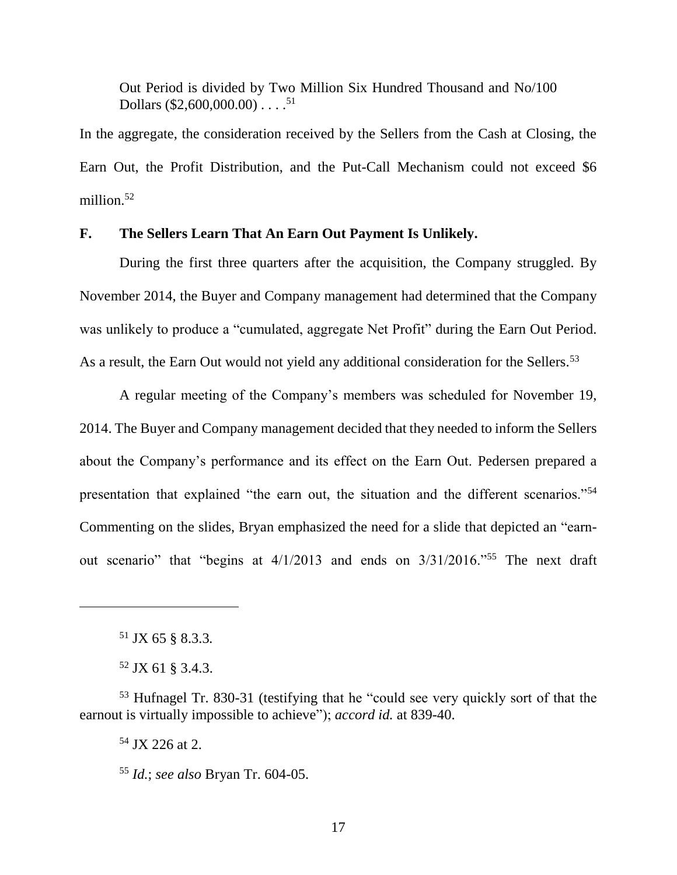Out Period is divided by Two Million Six Hundred Thousand and No/100 Dollars  $(\$2,600,000,00)$  . . . . <sup>51</sup>

In the aggregate, the consideration received by the Sellers from the Cash at Closing, the Earn Out, the Profit Distribution, and the Put-Call Mechanism could not exceed \$6 million. $52$ 

### **F. The Sellers Learn That An Earn Out Payment Is Unlikely.**

During the first three quarters after the acquisition, the Company struggled. By November 2014, the Buyer and Company management had determined that the Company was unlikely to produce a "cumulated, aggregate Net Profit" during the Earn Out Period. As a result, the Earn Out would not yield any additional consideration for the Sellers.<sup>53</sup>

A regular meeting of the Company's members was scheduled for November 19, 2014. The Buyer and Company management decided that they needed to inform the Sellers about the Company's performance and its effect on the Earn Out. Pedersen prepared a presentation that explained "the earn out, the situation and the different scenarios."<sup>54</sup> Commenting on the slides, Bryan emphasized the need for a slide that depicted an "earnout scenario" that "begins at 4/1/2013 and ends on 3/31/2016."<sup>55</sup> The next draft

<sup>51</sup> JX 65 § 8.3.3*.*

 $\overline{a}$ 

<sup>52</sup> JX 61 § 3.4.3.

<sup>53</sup> Hufnagel Tr. 830-31 (testifying that he "could see very quickly sort of that the earnout is virtually impossible to achieve"); *accord id.* at 839-40.

<sup>54</sup> JX 226 at 2.

<sup>55</sup> *Id.*; *see also* Bryan Tr. 604-05.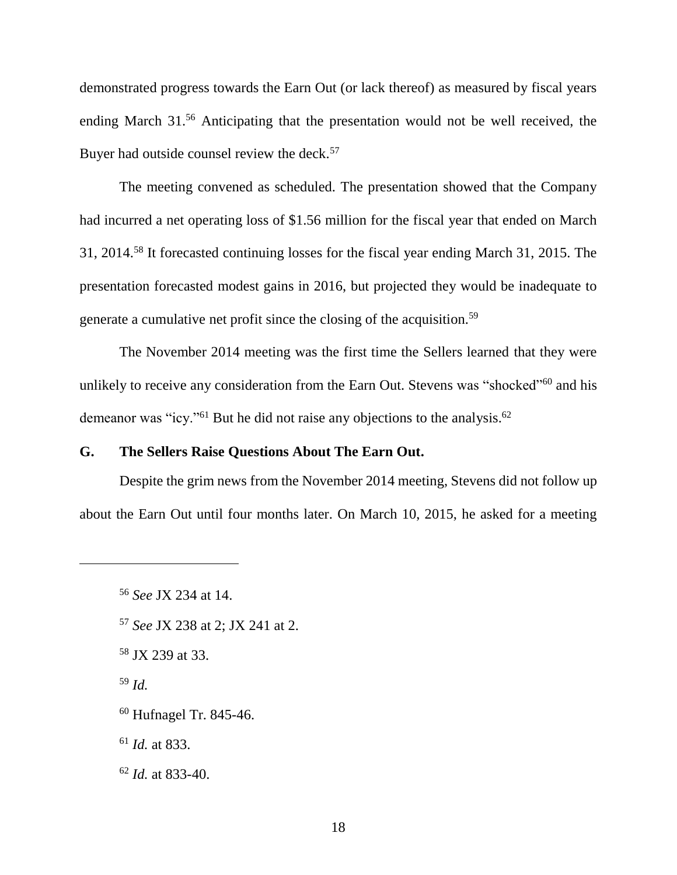demonstrated progress towards the Earn Out (or lack thereof) as measured by fiscal years ending March 31.<sup>56</sup> Anticipating that the presentation would not be well received, the Buyer had outside counsel review the deck.<sup>57</sup>

The meeting convened as scheduled. The presentation showed that the Company had incurred a net operating loss of \$1.56 million for the fiscal year that ended on March 31, 2014.<sup>58</sup> It forecasted continuing losses for the fiscal year ending March 31, 2015. The presentation forecasted modest gains in 2016, but projected they would be inadequate to generate a cumulative net profit since the closing of the acquisition.<sup>59</sup>

The November 2014 meeting was the first time the Sellers learned that they were unlikely to receive any consideration from the Earn Out. Stevens was "shocked"<sup>60</sup> and his demeanor was "icy."<sup>61</sup> But he did not raise any objections to the analysis.<sup>62</sup>

## **G. The Sellers Raise Questions About The Earn Out.**

Despite the grim news from the November 2014 meeting, Stevens did not follow up about the Earn Out until four months later. On March 10, 2015, he asked for a meeting

- <sup>57</sup> *See* JX 238 at 2; JX 241 at 2.
- <sup>58</sup> JX 239 at 33.
- <sup>59</sup> *Id.*

- <sup>60</sup> Hufnagel Tr. 845-46.
- <sup>61</sup> *Id.* at 833.
- <sup>62</sup> *Id.* at 833-40.

<sup>56</sup> *See* JX 234 at 14.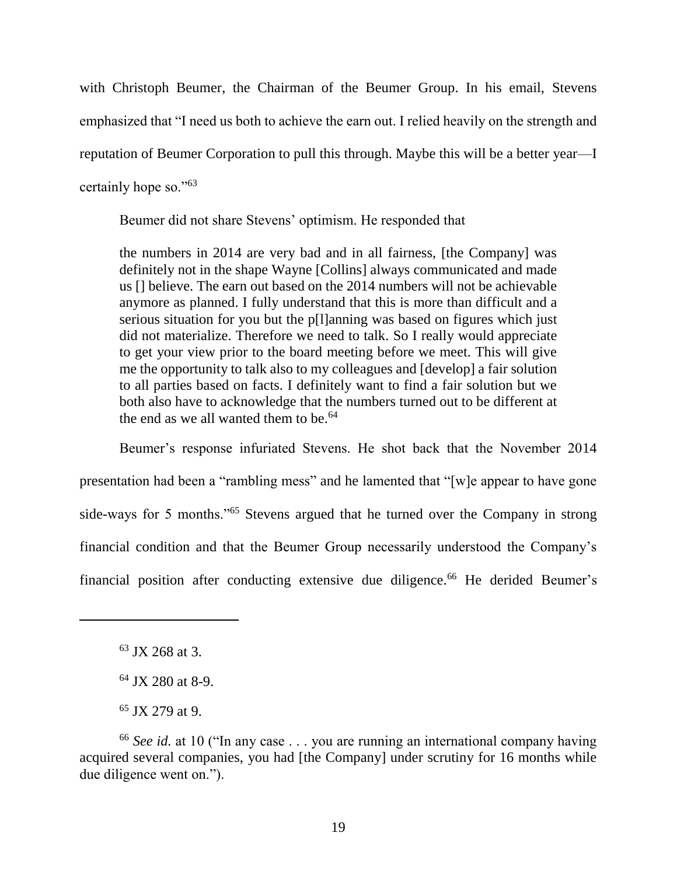with Christoph Beumer, the Chairman of the Beumer Group. In his email, Stevens emphasized that "I need us both to achieve the earn out. I relied heavily on the strength and reputation of Beumer Corporation to pull this through. Maybe this will be a better year—I certainly hope so."<sup>63</sup>

Beumer did not share Stevens' optimism. He responded that

the numbers in 2014 are very bad and in all fairness, [the Company] was definitely not in the shape Wayne [Collins] always communicated and made us [] believe. The earn out based on the 2014 numbers will not be achievable anymore as planned. I fully understand that this is more than difficult and a serious situation for you but the p[l]anning was based on figures which just did not materialize. Therefore we need to talk. So I really would appreciate to get your view prior to the board meeting before we meet. This will give me the opportunity to talk also to my colleagues and [develop] a fair solution to all parties based on facts. I definitely want to find a fair solution but we both also have to acknowledge that the numbers turned out to be different at the end as we all wanted them to be.  $64$ 

Beumer's response infuriated Stevens. He shot back that the November 2014 presentation had been a "rambling mess" and he lamented that "[w]e appear to have gone side-ways for 5 months."<sup>65</sup> Stevens argued that he turned over the Company in strong financial condition and that the Beumer Group necessarily understood the Company's financial position after conducting extensive due diligence.<sup>66</sup> He derided Beumer's

<sup>63</sup> JX 268 at 3.

<sup>&</sup>lt;sup>64</sup> JX 280 at 8-9.

<sup>65</sup> JX 279 at 9.

<sup>66</sup> *See id.* at 10 ("In any case . . . you are running an international company having acquired several companies, you had [the Company] under scrutiny for 16 months while due diligence went on.").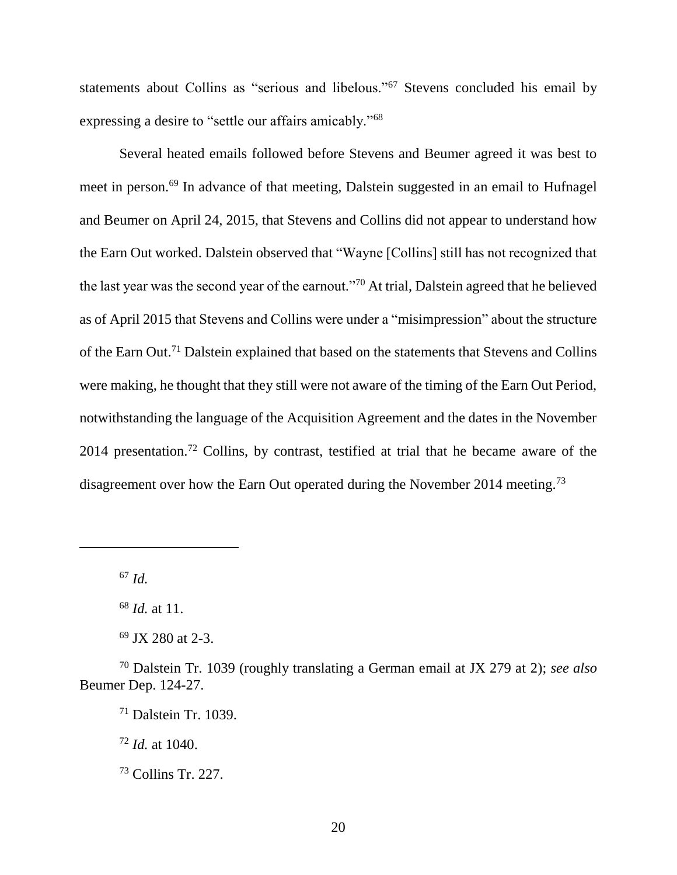statements about Collins as "serious and libelous."<sup>67</sup> Stevens concluded his email by expressing a desire to "settle our affairs amicably."<sup>68</sup>

Several heated emails followed before Stevens and Beumer agreed it was best to meet in person.<sup>69</sup> In advance of that meeting, Dalstein suggested in an email to Hufnagel and Beumer on April 24, 2015, that Stevens and Collins did not appear to understand how the Earn Out worked. Dalstein observed that "Wayne [Collins] still has not recognized that the last year was the second year of the earnout."<sup>70</sup> At trial, Dalstein agreed that he believed as of April 2015 that Stevens and Collins were under a "misimpression" about the structure of the Earn Out.<sup>71</sup> Dalstein explained that based on the statements that Stevens and Collins were making, he thought that they still were not aware of the timing of the Earn Out Period, notwithstanding the language of the Acquisition Agreement and the dates in the November 2014 presentation.<sup>72</sup> Collins, by contrast, testified at trial that he became aware of the disagreement over how the Earn Out operated during the November 2014 meeting.<sup>73</sup>

<sup>67</sup> *Id.*

 $\overline{a}$ 

<sup>72</sup> *Id.* at 1040.

<sup>68</sup> *Id.* at 11.

<sup>69</sup> JX 280 at 2-3.

<sup>70</sup> Dalstein Tr. 1039 (roughly translating a German email at JX 279 at 2); *see also*  Beumer Dep. 124-27.

 $71$  Dalstein Tr. 1039.

<sup>73</sup> Collins Tr. 227.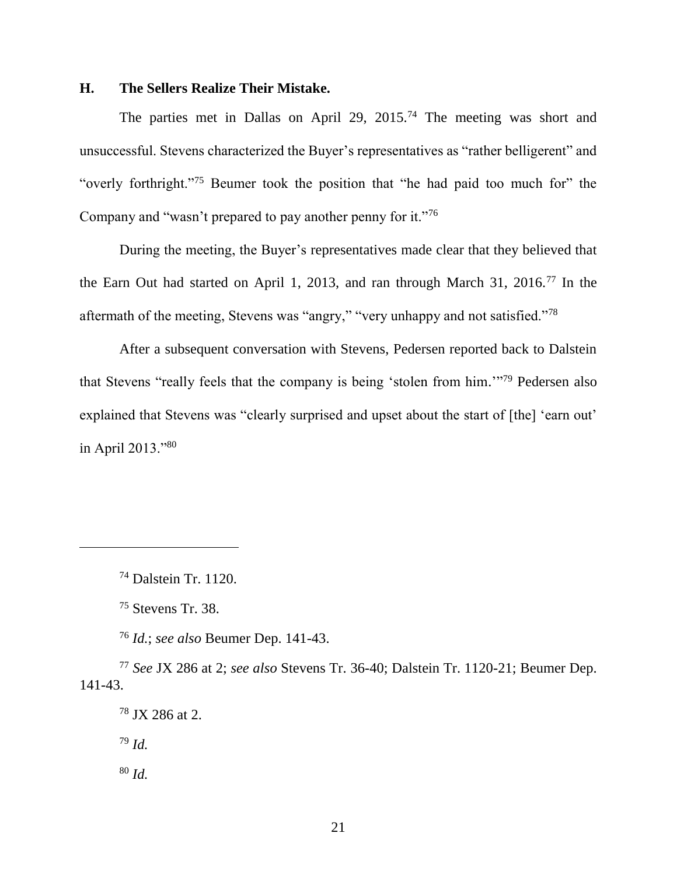#### **H. The Sellers Realize Their Mistake.**

The parties met in Dallas on April 29, 2015.<sup>74</sup> The meeting was short and unsuccessful. Stevens characterized the Buyer's representatives as "rather belligerent" and "overly forthright."<sup>75</sup> Beumer took the position that "he had paid too much for" the Company and "wasn't prepared to pay another penny for it."<sup>76</sup>

During the meeting, the Buyer's representatives made clear that they believed that the Earn Out had started on April 1, 2013, and ran through March 31, 2016.<sup>77</sup> In the aftermath of the meeting, Stevens was "angry," "very unhappy and not satisfied."<sup>78</sup>

After a subsequent conversation with Stevens, Pedersen reported back to Dalstein that Stevens "really feels that the company is being 'stolen from him.'" <sup>79</sup> Pedersen also explained that Stevens was "clearly surprised and upset about the start of [the] 'earn out' in April 2013."<sup>80</sup>

<sup>76</sup> *Id.*; *see also* Beumer Dep. 141-43.

<sup>74</sup> Dalstein Tr. 1120.

<sup>75</sup> Stevens Tr. 38.

<sup>77</sup> *See* JX 286 at 2; *see also* Stevens Tr. 36-40; Dalstein Tr. 1120-21; Beumer Dep. 141-43.

<sup>78</sup> JX 286 at 2.

<sup>79</sup> *Id.*

<sup>80</sup> *Id.*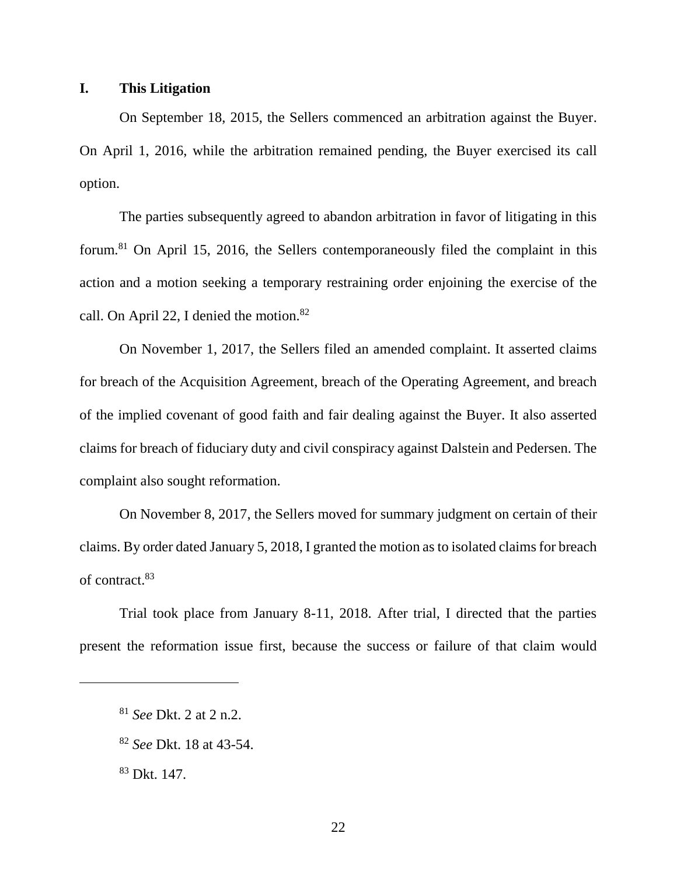## **I. This Litigation**

On September 18, 2015, the Sellers commenced an arbitration against the Buyer. On April 1, 2016, while the arbitration remained pending, the Buyer exercised its call option.

The parties subsequently agreed to abandon arbitration in favor of litigating in this forum.<sup>81</sup> On April 15, 2016, the Sellers contemporaneously filed the complaint in this action and a motion seeking a temporary restraining order enjoining the exercise of the call. On April 22, I denied the motion.<sup>82</sup>

On November 1, 2017, the Sellers filed an amended complaint. It asserted claims for breach of the Acquisition Agreement, breach of the Operating Agreement, and breach of the implied covenant of good faith and fair dealing against the Buyer. It also asserted claims for breach of fiduciary duty and civil conspiracy against Dalstein and Pedersen. The complaint also sought reformation.

On November 8, 2017, the Sellers moved for summary judgment on certain of their claims. By order dated January 5, 2018, I granted the motion as to isolated claims for breach of contract.<sup>83</sup>

Trial took place from January 8-11, 2018. After trial, I directed that the parties present the reformation issue first, because the success or failure of that claim would

<sup>81</sup> *See* Dkt. 2 at 2 n.2.

<sup>82</sup> *See* Dkt. 18 at 43-54.

<sup>83</sup> Dkt. 147.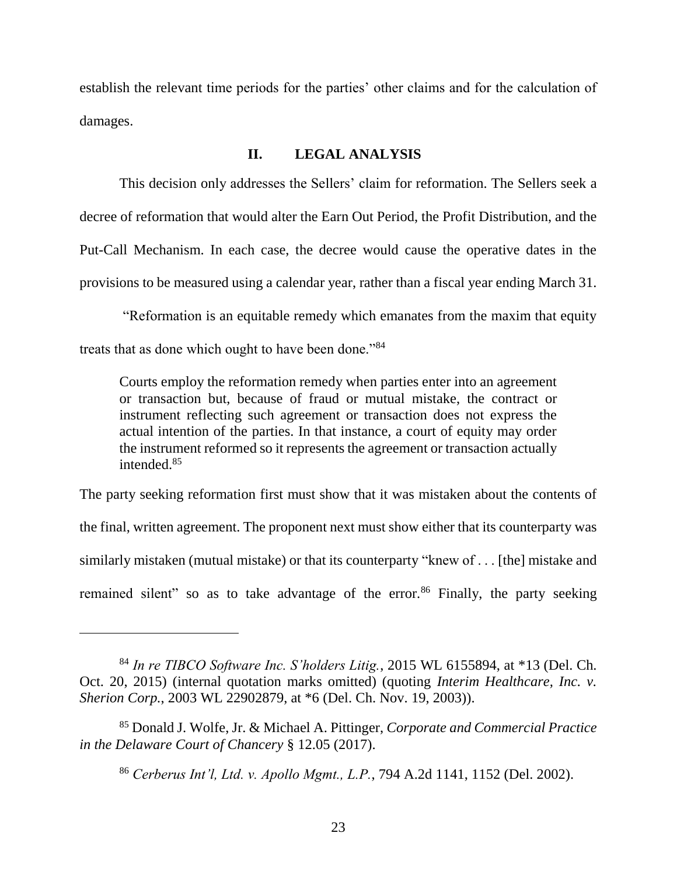establish the relevant time periods for the parties' other claims and for the calculation of damages.

### **II. LEGAL ANALYSIS**

This decision only addresses the Sellers' claim for reformation. The Sellers seek a decree of reformation that would alter the Earn Out Period, the Profit Distribution, and the Put-Call Mechanism. In each case, the decree would cause the operative dates in the provisions to be measured using a calendar year, rather than a fiscal year ending March 31.

"Reformation is an equitable remedy which emanates from the maxim that equity treats that as done which ought to have been done."<sup>84</sup>

Courts employ the reformation remedy when parties enter into an agreement or transaction but, because of fraud or mutual mistake, the contract or instrument reflecting such agreement or transaction does not express the actual intention of the parties. In that instance, a court of equity may order the instrument reformed so it represents the agreement or transaction actually intended.<sup>85</sup>

The party seeking reformation first must show that it was mistaken about the contents of the final, written agreement. The proponent next must show either that its counterparty was similarly mistaken (mutual mistake) or that its counterparty "knew of . . . [the] mistake and remained silent" so as to take advantage of the error. $86$  Finally, the party seeking

<sup>84</sup> *In re TIBCO Software Inc. S'holders Litig.*, 2015 WL 6155894, at \*13 (Del. Ch. Oct. 20, 2015) (internal quotation marks omitted) (quoting *Interim Healthcare, Inc. v. Sherion Corp.*, 2003 WL 22902879, at \*6 (Del. Ch. Nov. 19, 2003)).

<sup>85</sup> Donald J. Wolfe, Jr. & Michael A. Pittinger, *Corporate and Commercial Practice in the Delaware Court of Chancery* § 12.05 (2017).

<sup>86</sup> *Cerberus Int'l, Ltd. v. Apollo Mgmt., L.P.*, 794 A.2d 1141, 1152 (Del. 2002).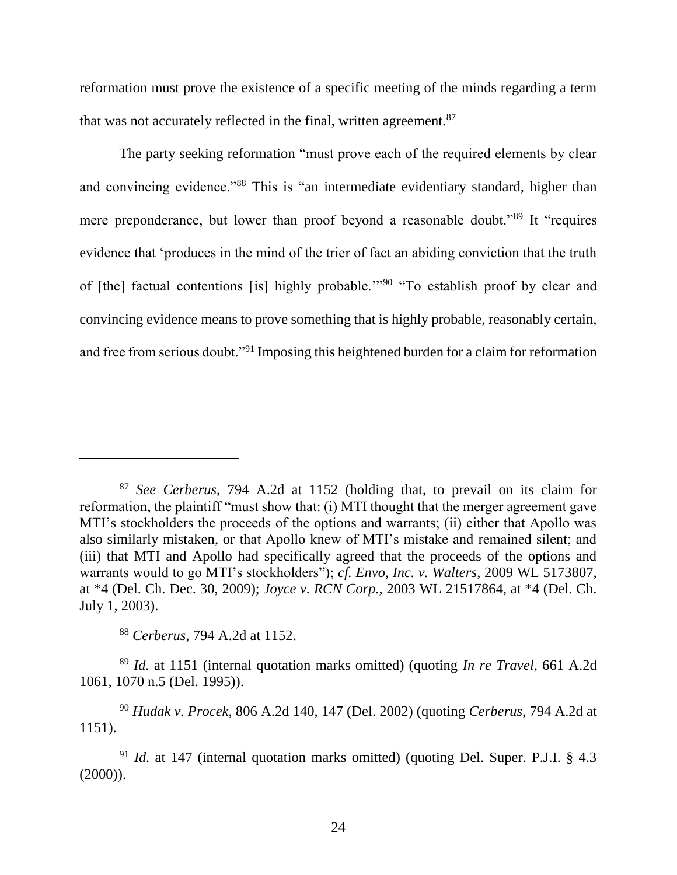reformation must prove the existence of a specific meeting of the minds regarding a term that was not accurately reflected in the final, written agreement.<sup>87</sup>

The party seeking reformation "must prove each of the required elements by clear and convincing evidence."<sup>88</sup> This is "an intermediate evidentiary standard, higher than mere preponderance, but lower than proof beyond a reasonable doubt."<sup>89</sup> It "requires" evidence that 'produces in the mind of the trier of fact an abiding conviction that the truth of [the] factual contentions [is] highly probable.'"<sup>90</sup> "To establish proof by clear and convincing evidence means to prove something that is highly probable, reasonably certain, and free from serious doubt."<sup>91</sup> Imposing this heightened burden for a claim for reformation

<sup>88</sup> *Cerberus*, 794 A.2d at 1152.

 $\overline{a}$ 

<sup>89</sup> *Id.* at 1151 (internal quotation marks omitted) (quoting *In re Travel*, 661 A.2d 1061, 1070 n.5 (Del. 1995)).

<sup>87</sup> *See Cerberus*, 794 A.2d at 1152 (holding that, to prevail on its claim for reformation, the plaintiff "must show that: (i) MTI thought that the merger agreement gave MTI's stockholders the proceeds of the options and warrants; (ii) either that Apollo was also similarly mistaken, or that Apollo knew of MTI's mistake and remained silent; and (iii) that MTI and Apollo had specifically agreed that the proceeds of the options and warrants would to go MTI's stockholders"); *cf. Envo, Inc. v. Walters*, 2009 WL 5173807, at \*4 (Del. Ch. Dec. 30, 2009); *Joyce v. RCN Corp.*, 2003 WL 21517864, at \*4 (Del. Ch. July 1, 2003).

<sup>90</sup> *Hudak v. Procek*, 806 A.2d 140, 147 (Del. 2002) (quoting *Cerberus*, 794 A.2d at 1151).

<sup>91</sup> *Id.* at 147 (internal quotation marks omitted) (quoting Del. Super. P.J.I. § 4.3  $(2000)$ ).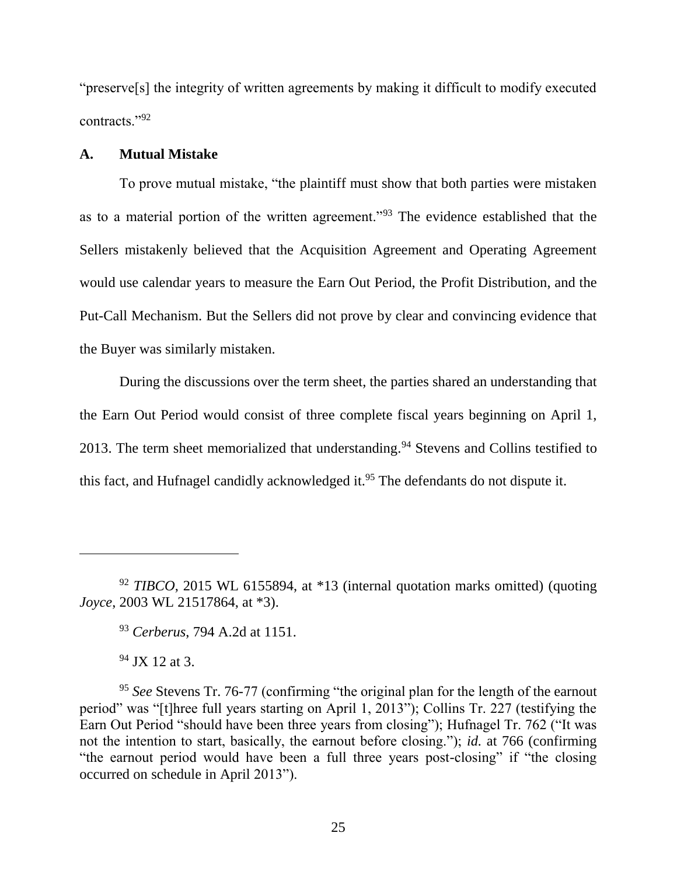"preserve[s] the integrity of written agreements by making it difficult to modify executed contracts."<sup>92</sup>

## **A. Mutual Mistake**

To prove mutual mistake, "the plaintiff must show that both parties were mistaken as to a material portion of the written agreement."<sup>93</sup> The evidence established that the Sellers mistakenly believed that the Acquisition Agreement and Operating Agreement would use calendar years to measure the Earn Out Period, the Profit Distribution, and the Put-Call Mechanism. But the Sellers did not prove by clear and convincing evidence that the Buyer was similarly mistaken.

During the discussions over the term sheet, the parties shared an understanding that the Earn Out Period would consist of three complete fiscal years beginning on April 1, 2013. The term sheet memorialized that understanding.<sup>94</sup> Stevens and Collins testified to this fact, and Hufnagel candidly acknowledged it.<sup>95</sup> The defendants do not dispute it.

<sup>93</sup> *Cerberus*, 794 A.2d at 1151.

<sup>94</sup> JX 12 at 3.

<sup>92</sup> *TIBCO*, 2015 WL 6155894, at \*13 (internal quotation marks omitted) (quoting *Joyce*, 2003 WL 21517864, at \*3).

<sup>&</sup>lt;sup>95</sup> See Stevens Tr. 76-77 (confirming "the original plan for the length of the earnout period" was "[t]hree full years starting on April 1, 2013"); Collins Tr. 227 (testifying the Earn Out Period "should have been three years from closing"); Hufnagel Tr. 762 ("It was not the intention to start, basically, the earnout before closing."); *id.* at 766 (confirming "the earnout period would have been a full three years post-closing" if "the closing occurred on schedule in April 2013").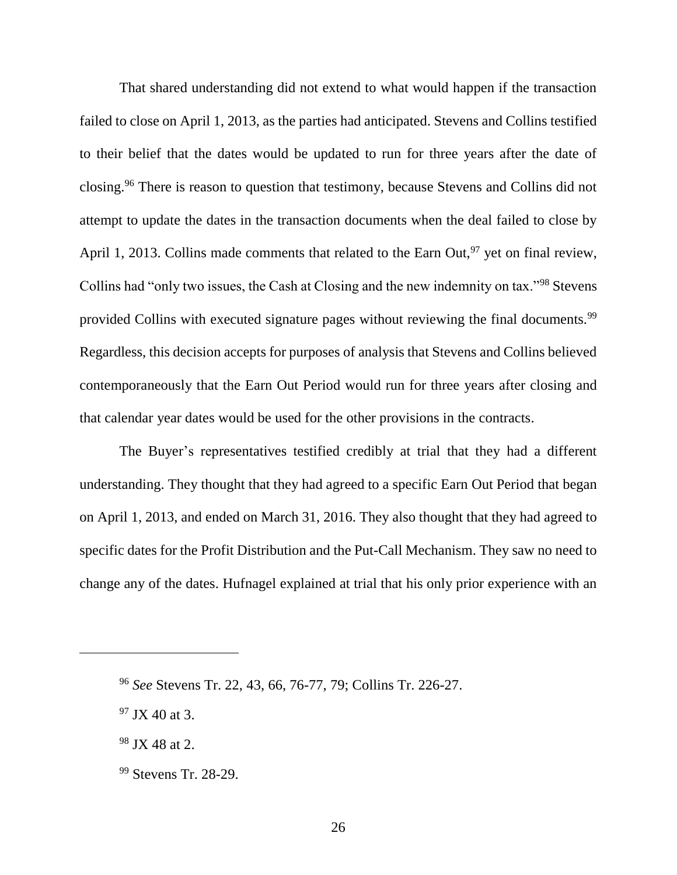That shared understanding did not extend to what would happen if the transaction failed to close on April 1, 2013, as the parties had anticipated. Stevens and Collins testified to their belief that the dates would be updated to run for three years after the date of closing.<sup>96</sup> There is reason to question that testimony, because Stevens and Collins did not attempt to update the dates in the transaction documents when the deal failed to close by April 1, 2013. Collins made comments that related to the Earn Out,  $97$  yet on final review, Collins had "only two issues, the Cash at Closing and the new indemnity on tax."<sup>98</sup> Stevens provided Collins with executed signature pages without reviewing the final documents.<sup>99</sup> Regardless, this decision accepts for purposes of analysis that Stevens and Collins believed contemporaneously that the Earn Out Period would run for three years after closing and that calendar year dates would be used for the other provisions in the contracts.

The Buyer's representatives testified credibly at trial that they had a different understanding. They thought that they had agreed to a specific Earn Out Period that began on April 1, 2013, and ended on March 31, 2016. They also thought that they had agreed to specific dates for the Profit Distribution and the Put-Call Mechanism. They saw no need to change any of the dates. Hufnagel explained at trial that his only prior experience with an

<sup>96</sup> *See* Stevens Tr. 22, 43, 66, 76-77, 79; Collins Tr. 226-27.

 $97$  JX 40 at 3.

<sup>98</sup> JX 48 at 2.

<sup>99</sup> Stevens Tr. 28-29.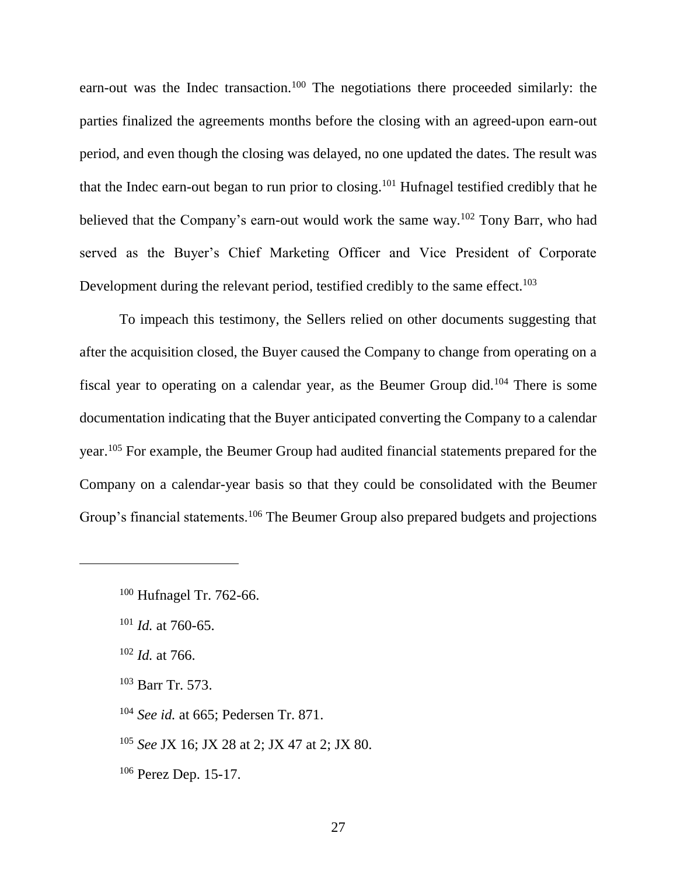earn-out was the Indec transaction.<sup>100</sup> The negotiations there proceeded similarly: the parties finalized the agreements months before the closing with an agreed-upon earn-out period, and even though the closing was delayed, no one updated the dates. The result was that the Indec earn-out began to run prior to closing.<sup>101</sup> Hufnagel testified credibly that he believed that the Company's earn-out would work the same way.<sup>102</sup> Tony Barr, who had served as the Buyer's Chief Marketing Officer and Vice President of Corporate Development during the relevant period, testified credibly to the same effect.<sup>103</sup>

To impeach this testimony, the Sellers relied on other documents suggesting that after the acquisition closed, the Buyer caused the Company to change from operating on a fiscal year to operating on a calendar year, as the Beumer Group did.<sup>104</sup> There is some documentation indicating that the Buyer anticipated converting the Company to a calendar year.<sup>105</sup> For example, the Beumer Group had audited financial statements prepared for the Company on a calendar-year basis so that they could be consolidated with the Beumer Group's financial statements.<sup>106</sup> The Beumer Group also prepared budgets and projections

<sup>102</sup> *Id.* at 766.

 $\overline{a}$ 

<sup>105</sup> *See* JX 16; JX 28 at 2; JX 47 at 2; JX 80.

<sup>106</sup> Perez Dep. 15-17.

<sup>100</sup> Hufnagel Tr. 762-66.

<sup>101</sup> *Id.* at 760-65.

<sup>103</sup> Barr Tr. 573.

<sup>104</sup> *See id.* at 665; Pedersen Tr. 871.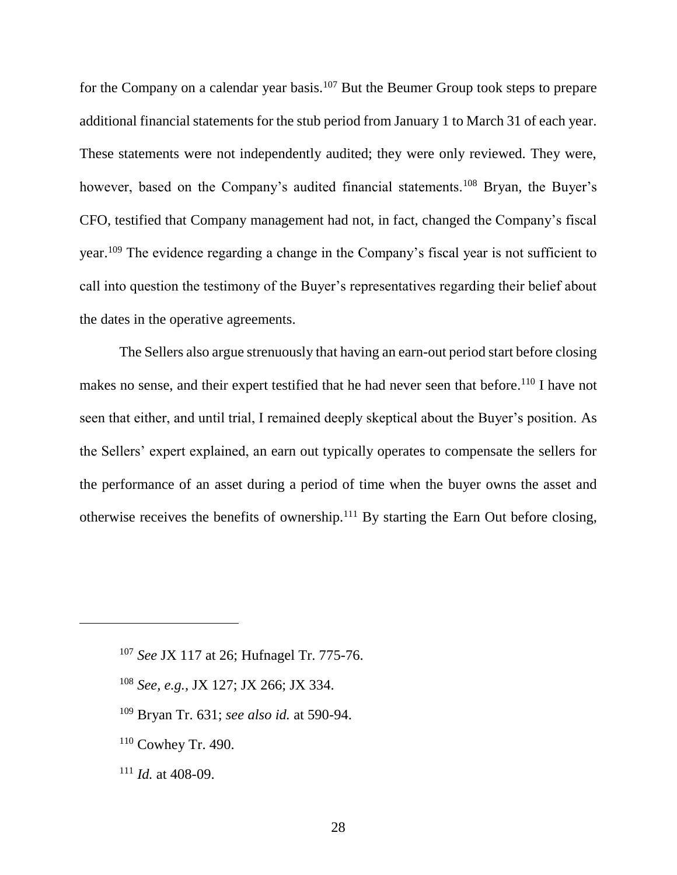for the Company on a calendar year basis.<sup>107</sup> But the Beumer Group took steps to prepare additional financial statements for the stub period from January 1 to March 31 of each year. These statements were not independently audited; they were only reviewed. They were, however, based on the Company's audited financial statements.<sup>108</sup> Bryan, the Buyer's CFO, testified that Company management had not, in fact, changed the Company's fiscal year.<sup>109</sup> The evidence regarding a change in the Company's fiscal year is not sufficient to call into question the testimony of the Buyer's representatives regarding their belief about the dates in the operative agreements.

The Sellers also argue strenuously that having an earn-out period start before closing makes no sense, and their expert testified that he had never seen that before.<sup>110</sup> I have not seen that either, and until trial, I remained deeply skeptical about the Buyer's position. As the Sellers' expert explained, an earn out typically operates to compensate the sellers for the performance of an asset during a period of time when the buyer owns the asset and otherwise receives the benefits of ownership.<sup>111</sup> By starting the Earn Out before closing,

- <sup>108</sup> *See, e.g.*, JX 127; JX 266; JX 334.
- <sup>109</sup> Bryan Tr. 631; *see also id.* at 590-94.
- <sup>110</sup> Cowhey Tr. 490.
- <sup>111</sup> *Id.* at 408-09.

<sup>107</sup> *See* JX 117 at 26; Hufnagel Tr. 775-76.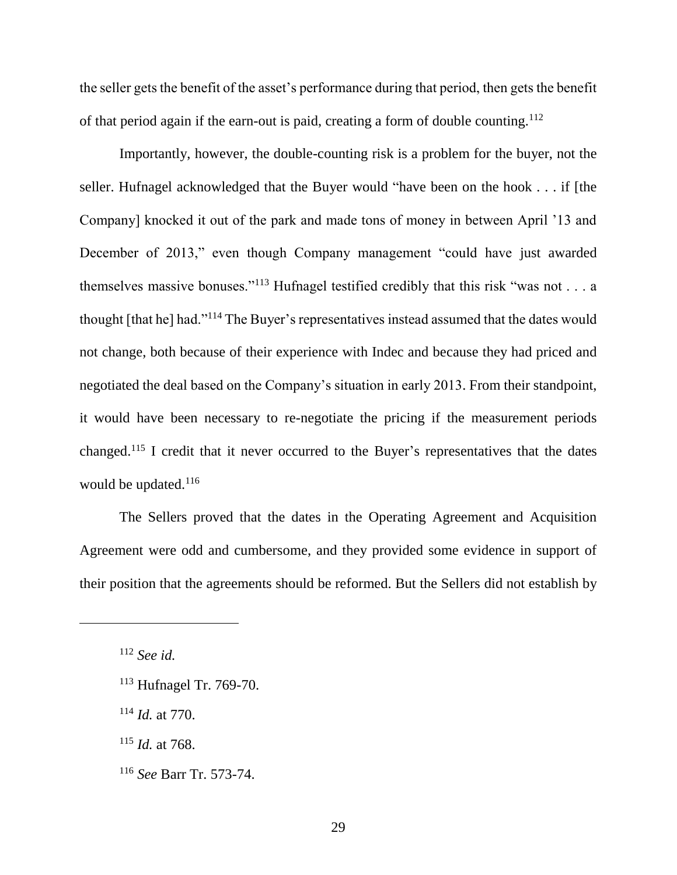the seller gets the benefit of the asset's performance during that period, then gets the benefit of that period again if the earn-out is paid, creating a form of double counting.<sup>112</sup>

Importantly, however, the double-counting risk is a problem for the buyer, not the seller. Hufnagel acknowledged that the Buyer would "have been on the hook . . . if [the Company] knocked it out of the park and made tons of money in between April '13 and December of 2013," even though Company management "could have just awarded themselves massive bonuses."<sup>113</sup> Hufnagel testified credibly that this risk "was not . . . a thought [that he] had."<sup>114</sup> The Buyer's representatives instead assumed that the dates would not change, both because of their experience with Indec and because they had priced and negotiated the deal based on the Company's situation in early 2013. From their standpoint, it would have been necessary to re-negotiate the pricing if the measurement periods changed.<sup>115</sup> I credit that it never occurred to the Buyer's representatives that the dates would be updated.<sup>116</sup>

The Sellers proved that the dates in the Operating Agreement and Acquisition Agreement were odd and cumbersome, and they provided some evidence in support of their position that the agreements should be reformed. But the Sellers did not establish by

 $\overline{a}$ 

<sup>115</sup> *Id.* at 768.

<sup>112</sup> *See id.*

<sup>113</sup> Hufnagel Tr. 769-70.

<sup>114</sup> *Id.* at 770.

<sup>116</sup> *See* Barr Tr. 573-74.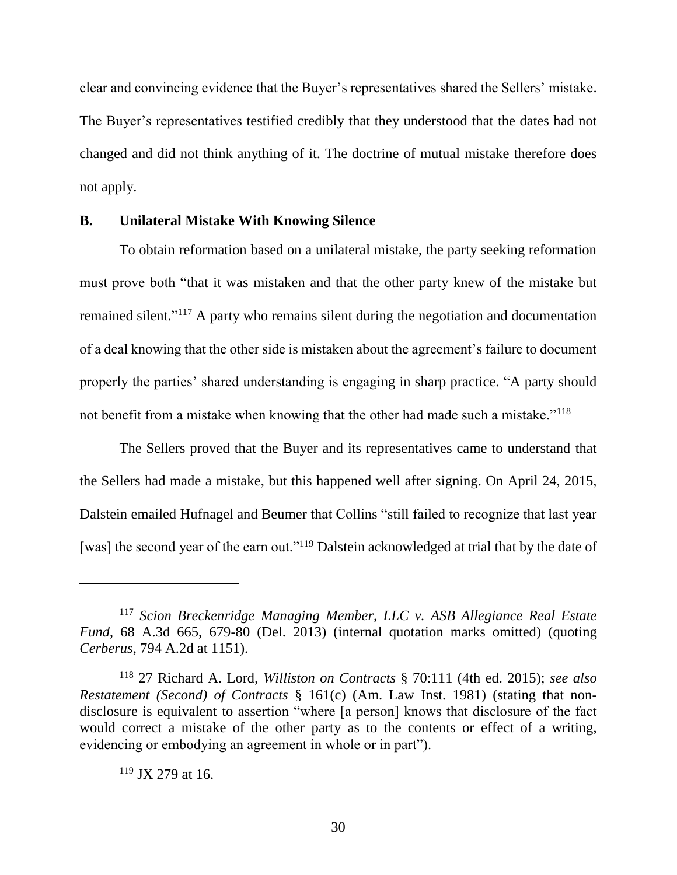clear and convincing evidence that the Buyer's representatives shared the Sellers' mistake. The Buyer's representatives testified credibly that they understood that the dates had not changed and did not think anything of it. The doctrine of mutual mistake therefore does not apply.

### **B. Unilateral Mistake With Knowing Silence**

To obtain reformation based on a unilateral mistake, the party seeking reformation must prove both "that it was mistaken and that the other party knew of the mistake but remained silent."<sup>117</sup> A party who remains silent during the negotiation and documentation of a deal knowing that the other side is mistaken about the agreement's failure to document properly the parties' shared understanding is engaging in sharp practice. "A party should not benefit from a mistake when knowing that the other had made such a mistake."<sup>118</sup>

The Sellers proved that the Buyer and its representatives came to understand that the Sellers had made a mistake, but this happened well after signing. On April 24, 2015, Dalstein emailed Hufnagel and Beumer that Collins "still failed to recognize that last year [was] the second year of the earn out."<sup>119</sup> Dalstein acknowledged at trial that by the date of

<sup>119</sup> JX 279 at 16.

<sup>117</sup> *Scion Breckenridge Managing Member, LLC v. ASB Allegiance Real Estate Fund*, 68 A.3d 665, 679-80 (Del. 2013) (internal quotation marks omitted) (quoting *Cerberus*, 794 A.2d at 1151).

<sup>118</sup> 27 Richard A. Lord, *Williston on Contracts* § 70:111 (4th ed. 2015); *see also Restatement (Second) of Contracts* § 161(c) (Am. Law Inst. 1981) (stating that nondisclosure is equivalent to assertion "where [a person] knows that disclosure of the fact would correct a mistake of the other party as to the contents or effect of a writing, evidencing or embodying an agreement in whole or in part").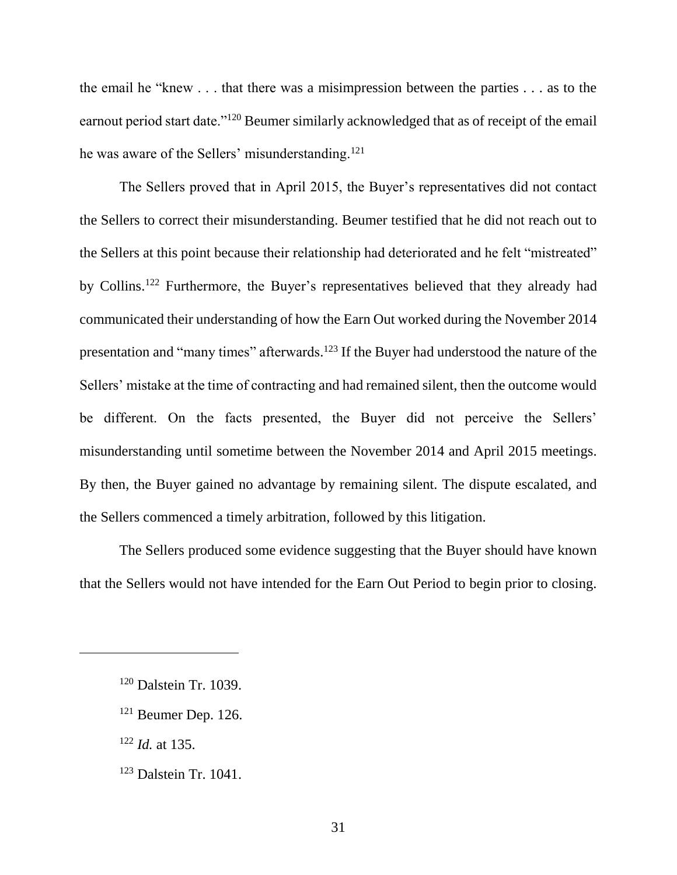the email he "knew . . . that there was a misimpression between the parties . . . as to the earnout period start date."<sup>120</sup> Beumer similarly acknowledged that as of receipt of the email he was aware of the Sellers' misunderstanding.<sup>121</sup>

The Sellers proved that in April 2015, the Buyer's representatives did not contact the Sellers to correct their misunderstanding. Beumer testified that he did not reach out to the Sellers at this point because their relationship had deteriorated and he felt "mistreated" by Collins.<sup>122</sup> Furthermore, the Buyer's representatives believed that they already had communicated their understanding of how the Earn Out worked during the November 2014 presentation and "many times" afterwards.<sup>123</sup> If the Buyer had understood the nature of the Sellers' mistake at the time of contracting and had remained silent, then the outcome would be different. On the facts presented, the Buyer did not perceive the Sellers' misunderstanding until sometime between the November 2014 and April 2015 meetings. By then, the Buyer gained no advantage by remaining silent. The dispute escalated, and the Sellers commenced a timely arbitration, followed by this litigation.

The Sellers produced some evidence suggesting that the Buyer should have known that the Sellers would not have intended for the Earn Out Period to begin prior to closing.

<sup>122</sup> *Id.* at 135.

<sup>120</sup> Dalstein Tr. 1039.

<sup>121</sup> Beumer Dep. 126.

<sup>123</sup> Dalstein Tr. 1041.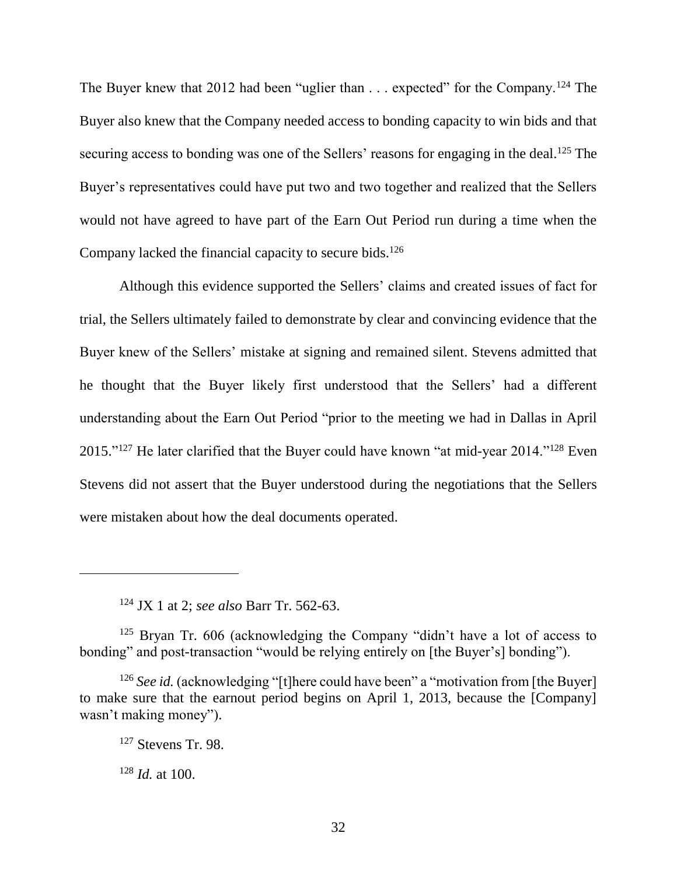The Buyer knew that 2012 had been "uglier than . . . expected" for the Company.<sup>124</sup> The Buyer also knew that the Company needed access to bonding capacity to win bids and that securing access to bonding was one of the Sellers' reasons for engaging in the deal.<sup>125</sup> The Buyer's representatives could have put two and two together and realized that the Sellers would not have agreed to have part of the Earn Out Period run during a time when the Company lacked the financial capacity to secure bids.<sup>126</sup>

Although this evidence supported the Sellers' claims and created issues of fact for trial, the Sellers ultimately failed to demonstrate by clear and convincing evidence that the Buyer knew of the Sellers' mistake at signing and remained silent. Stevens admitted that he thought that the Buyer likely first understood that the Sellers' had a different understanding about the Earn Out Period "prior to the meeting we had in Dallas in April 2015."<sup>127</sup> He later clarified that the Buyer could have known "at mid-year 2014."<sup>128</sup> Even Stevens did not assert that the Buyer understood during the negotiations that the Sellers were mistaken about how the deal documents operated.

<sup>124</sup> JX 1 at 2; *see also* Barr Tr. 562-63.

<sup>&</sup>lt;sup>125</sup> Bryan Tr. 606 (acknowledging the Company "didn't have a lot of access to bonding" and post-transaction "would be relying entirely on [the Buyer's] bonding").

<sup>&</sup>lt;sup>126</sup> *See id.* (acknowledging "[t]here could have been" a "motivation from [the Buyer] to make sure that the earnout period begins on April 1, 2013, because the [Company] wasn't making money").

<sup>127</sup> Stevens Tr. 98.

<sup>128</sup> *Id.* at 100.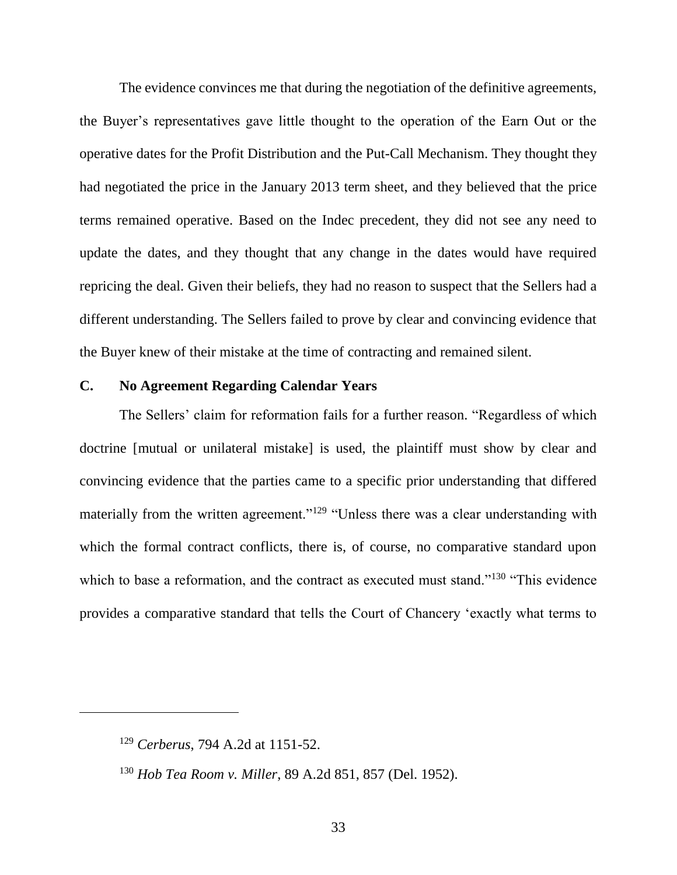The evidence convinces me that during the negotiation of the definitive agreements, the Buyer's representatives gave little thought to the operation of the Earn Out or the operative dates for the Profit Distribution and the Put-Call Mechanism. They thought they had negotiated the price in the January 2013 term sheet, and they believed that the price terms remained operative. Based on the Indec precedent, they did not see any need to update the dates, and they thought that any change in the dates would have required repricing the deal. Given their beliefs, they had no reason to suspect that the Sellers had a different understanding. The Sellers failed to prove by clear and convincing evidence that the Buyer knew of their mistake at the time of contracting and remained silent.

# **C. No Agreement Regarding Calendar Years**

The Sellers' claim for reformation fails for a further reason. "Regardless of which doctrine [mutual or unilateral mistake] is used, the plaintiff must show by clear and convincing evidence that the parties came to a specific prior understanding that differed materially from the written agreement."<sup>129</sup> "Unless there was a clear understanding with which the formal contract conflicts, there is, of course, no comparative standard upon which to base a reformation, and the contract as executed must stand."<sup>130</sup> "This evidence provides a comparative standard that tells the Court of Chancery 'exactly what terms to

<sup>129</sup> *Cerberus*, 794 A.2d at 1151-52.

<sup>130</sup> *Hob Tea Room v. Miller*, 89 A.2d 851, 857 (Del. 1952).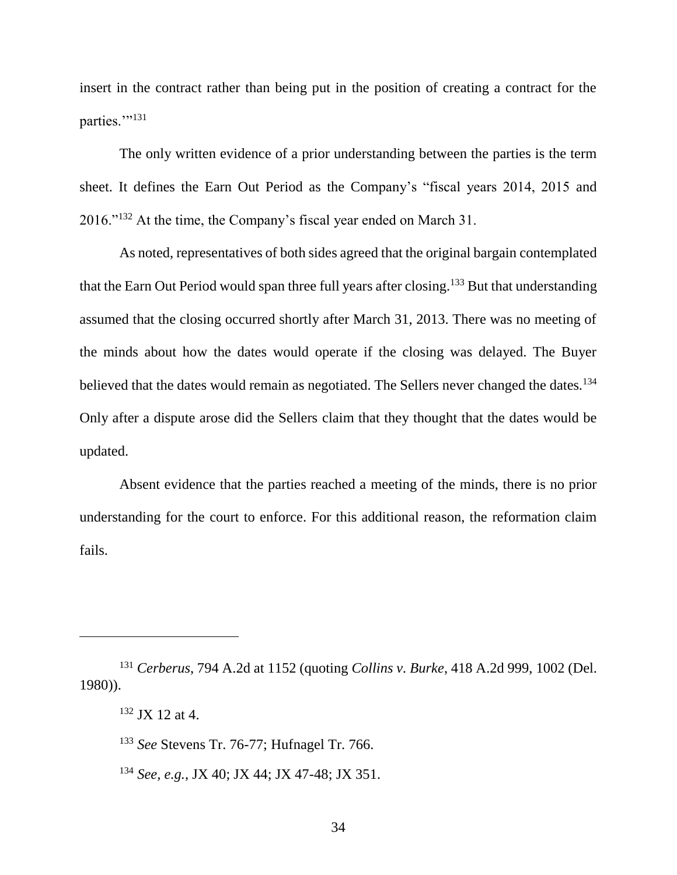insert in the contract rather than being put in the position of creating a contract for the parties."<sup>131</sup>

The only written evidence of a prior understanding between the parties is the term sheet. It defines the Earn Out Period as the Company's "fiscal years 2014, 2015 and 2016."<sup>132</sup> At the time, the Company's fiscal year ended on March 31.

As noted, representatives of both sides agreed that the original bargain contemplated that the Earn Out Period would span three full years after closing.<sup>133</sup> But that understanding assumed that the closing occurred shortly after March 31, 2013. There was no meeting of the minds about how the dates would operate if the closing was delayed. The Buyer believed that the dates would remain as negotiated. The Sellers never changed the dates.<sup>134</sup> Only after a dispute arose did the Sellers claim that they thought that the dates would be updated.

Absent evidence that the parties reached a meeting of the minds, there is no prior understanding for the court to enforce. For this additional reason, the reformation claim fails.

<sup>131</sup> *Cerberus*, 794 A.2d at 1152 (quoting *Collins v. Burke*, 418 A.2d 999, 1002 (Del. 1980)).

<sup>132</sup> JX 12 at 4.

<sup>133</sup> *See* Stevens Tr. 76-77; Hufnagel Tr. 766.

<sup>134</sup> *See, e.g.*, JX 40; JX 44; JX 47-48; JX 351.